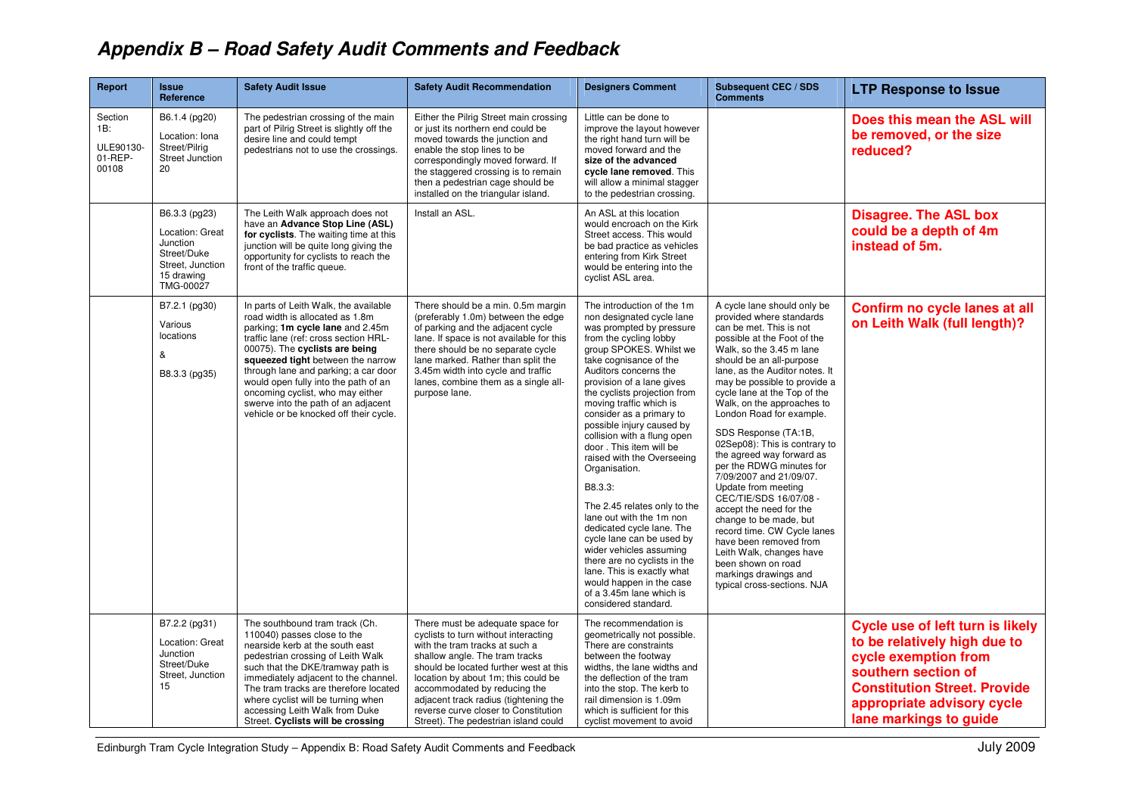## **Appendix B – Road Safety Audit Comments and Feedback**

| <b>Report</b>                                   | <b>Issue</b><br>Reference                                                                                  | <b>Safety Audit Issue</b>                                                                                                                                                                                                                                                                                                                                                                                                         | <b>Safety Audit Recommendation</b>                                                                                                                                                                                                                                                                                                                                                     | <b>Designers Comment</b>                                                                                                                                                                                                                                                                                                                                                                                                                                                                                                                                                                                                                                                                                                                                        | <b>Subsequent CEC / SDS</b><br><b>Comments</b>                                                                                                                                                                                                                                                                                                                                                                                                                                                                                                                                                                                                                                                                                                              | <b>LTP Response to Issue</b>                                                                                                                                                                                   |
|-------------------------------------------------|------------------------------------------------------------------------------------------------------------|-----------------------------------------------------------------------------------------------------------------------------------------------------------------------------------------------------------------------------------------------------------------------------------------------------------------------------------------------------------------------------------------------------------------------------------|----------------------------------------------------------------------------------------------------------------------------------------------------------------------------------------------------------------------------------------------------------------------------------------------------------------------------------------------------------------------------------------|-----------------------------------------------------------------------------------------------------------------------------------------------------------------------------------------------------------------------------------------------------------------------------------------------------------------------------------------------------------------------------------------------------------------------------------------------------------------------------------------------------------------------------------------------------------------------------------------------------------------------------------------------------------------------------------------------------------------------------------------------------------------|-------------------------------------------------------------------------------------------------------------------------------------------------------------------------------------------------------------------------------------------------------------------------------------------------------------------------------------------------------------------------------------------------------------------------------------------------------------------------------------------------------------------------------------------------------------------------------------------------------------------------------------------------------------------------------------------------------------------------------------------------------------|----------------------------------------------------------------------------------------------------------------------------------------------------------------------------------------------------------------|
| Section<br>1B:<br>ULE90130-<br>01-REP-<br>00108 | B6.1.4 (pg20)<br>Location: Iona<br>Street/Pilrig<br><b>Street Junction</b><br>20                           | The pedestrian crossing of the main<br>part of Pilrig Street is slightly off the<br>desire line and could tempt<br>pedestrians not to use the crossings.                                                                                                                                                                                                                                                                          | Either the Pilrig Street main crossing<br>or just its northern end could be<br>moved towards the junction and<br>enable the stop lines to be<br>correspondingly moved forward. If<br>the staggered crossing is to remain<br>then a pedestrian cage should be<br>installed on the triangular island.                                                                                    | Little can be done to<br>improve the layout however<br>the right hand turn will be<br>moved forward and the<br>size of the advanced<br>cycle lane removed. This<br>will allow a minimal stagger<br>to the pedestrian crossing.                                                                                                                                                                                                                                                                                                                                                                                                                                                                                                                                  |                                                                                                                                                                                                                                                                                                                                                                                                                                                                                                                                                                                                                                                                                                                                                             | Does this mean the ASL will<br>be removed, or the size<br>reduced?                                                                                                                                             |
|                                                 | B6.3.3 (pg23)<br>Location: Great<br>Junction<br>Street/Duke<br>Street, Junction<br>15 drawing<br>TMG-00027 | The Leith Walk approach does not<br>have an Advance Stop Line (ASL)<br>for cyclists. The waiting time at this<br>junction will be quite long giving the<br>opportunity for cyclists to reach the<br>front of the traffic queue.                                                                                                                                                                                                   | Install an ASL.                                                                                                                                                                                                                                                                                                                                                                        | An ASL at this location<br>would encroach on the Kirk<br>Street access. This would<br>be bad practice as vehicles<br>entering from Kirk Street<br>would be entering into the<br>cyclist ASL area.                                                                                                                                                                                                                                                                                                                                                                                                                                                                                                                                                               |                                                                                                                                                                                                                                                                                                                                                                                                                                                                                                                                                                                                                                                                                                                                                             | <b>Disagree. The ASL box</b><br>could be a depth of 4m<br>instead of 5m.                                                                                                                                       |
|                                                 | B7.2.1 (pg30)<br>Various<br>locations<br>&<br>B8.3.3 (pg35)                                                | In parts of Leith Walk, the available<br>road width is allocated as 1.8m<br>parking; 1m cycle lane and 2.45m<br>traffic lane (ref: cross section HRL-<br>00075). The cyclists are being<br>squeezed tight between the narrow<br>through lane and parking; a car door<br>would open fully into the path of an<br>oncoming cyclist, who may either<br>swerve into the path of an adjacent<br>vehicle or be knocked off their cycle. | There should be a min. 0.5m margin<br>(preferably 1.0m) between the edge<br>of parking and the adjacent cycle<br>lane. If space is not available for this<br>there should be no separate cycle<br>lane marked. Rather than split the<br>3.45m width into cycle and traffic<br>lanes, combine them as a single all-<br>purpose lane.                                                    | The introduction of the 1m<br>non designated cycle lane<br>was prompted by pressure<br>from the cycling lobby<br>group SPOKES. Whilst we<br>take cognisance of the<br>Auditors concerns the<br>provision of a lane gives<br>the cyclists projection from<br>moving traffic which is<br>consider as a primary to<br>possible injury caused by<br>collision with a flung open<br>door. This item will be<br>raised with the Overseeing<br>Organisation.<br>B8.3.3:<br>The 2.45 relates only to the<br>lane out with the 1m non<br>dedicated cycle lane. The<br>cycle lane can be used by<br>wider vehicles assuming<br>there are no cyclists in the<br>lane. This is exactly what<br>would happen in the case<br>of a 3.45m lane which is<br>considered standard. | A cycle lane should only be<br>provided where standards<br>can be met. This is not<br>possible at the Foot of the<br>Walk, so the 3.45 m lane<br>should be an all-purpose<br>lane, as the Auditor notes. It<br>may be possible to provide a<br>cycle lane at the Top of the<br>Walk, on the approaches to<br>London Road for example.<br>SDS Response (TA:1B,<br>02Sep08): This is contrary to<br>the agreed way forward as<br>per the RDWG minutes for<br>7/09/2007 and 21/09/07.<br>Update from meeting<br>CEC/TIE/SDS 16/07/08 -<br>accept the need for the<br>change to be made, but<br>record time. CW Cycle lanes<br>have been removed from<br>Leith Walk, changes have<br>been shown on road<br>markings drawings and<br>typical cross-sections. NJA | Confirm no cycle lanes at all<br>on Leith Walk (full length)?                                                                                                                                                  |
|                                                 | B7.2.2 (pg31)<br>Location: Great<br>Junction<br>Street/Duke<br>Street, Junction<br>15                      | The southbound tram track (Ch.<br>110040) passes close to the<br>nearside kerb at the south east<br>pedestrian crossing of Leith Walk<br>such that the DKE/tramway path is<br>immediately adjacent to the channel.<br>The tram tracks are therefore located<br>where cyclist will be turning when<br>accessing Leith Walk from Duke<br>Street. Cyclists will be crossing                                                          | There must be adequate space for<br>cyclists to turn without interacting<br>with the tram tracks at such a<br>shallow angle. The tram tracks<br>should be located further west at this<br>location by about 1m; this could be<br>accommodated by reducing the<br>adjacent track radius (tightening the<br>reverse curve closer to Constitution<br>Street). The pedestrian island could | The recommendation is<br>geometrically not possible.<br>There are constraints<br>between the footway<br>widths, the lane widths and<br>the deflection of the tram<br>into the stop. The kerb to<br>rail dimension is 1.09m<br>which is sufficient for this<br>cyclist movement to avoid                                                                                                                                                                                                                                                                                                                                                                                                                                                                         |                                                                                                                                                                                                                                                                                                                                                                                                                                                                                                                                                                                                                                                                                                                                                             | Cycle use of left turn is likely<br>to be relatively high due to<br>cycle exemption from<br>southern section of<br><b>Constitution Street. Provide</b><br>appropriate advisory cycle<br>lane markings to guide |

Edinburgh Tram Cycle Integration Study – Appendix B: Road Safety Audit Comments and Feedback July 2009 July 2009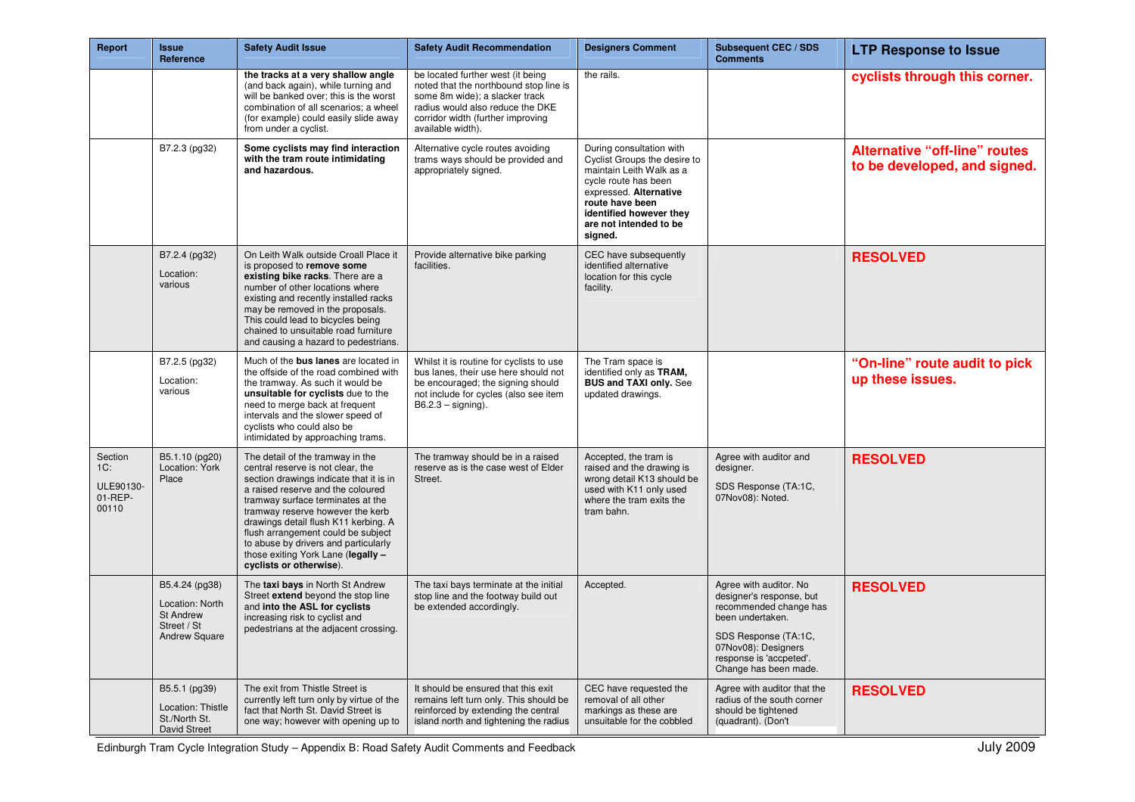| Report                                          | <b>Issue</b><br>Reference                                                                    | <b>Safety Audit Issue</b>                                                                                                                                                                                                                                                                                                                                                                                             | <b>Safety Audit Recommendation</b>                                                                                                                                                                          | <b>Designers Comment</b>                                                                                                                                                                                                  | <b>Subsequent CEC / SDS</b><br><b>Comments</b>                                                                                                                                                      | <b>LTP Response to Issue</b>                                         |
|-------------------------------------------------|----------------------------------------------------------------------------------------------|-----------------------------------------------------------------------------------------------------------------------------------------------------------------------------------------------------------------------------------------------------------------------------------------------------------------------------------------------------------------------------------------------------------------------|-------------------------------------------------------------------------------------------------------------------------------------------------------------------------------------------------------------|---------------------------------------------------------------------------------------------------------------------------------------------------------------------------------------------------------------------------|-----------------------------------------------------------------------------------------------------------------------------------------------------------------------------------------------------|----------------------------------------------------------------------|
|                                                 |                                                                                              | the tracks at a very shallow angle<br>(and back again), while turning and<br>will be banked over; this is the worst<br>combination of all scenarios; a wheel<br>(for example) could easily slide away<br>from under a cyclist.                                                                                                                                                                                        | be located further west (it being<br>noted that the northbound stop line is<br>some 8m wide); a slacker track<br>radius would also reduce the DKE<br>corridor width (further improving<br>available width). | the rails.                                                                                                                                                                                                                |                                                                                                                                                                                                     | cyclists through this corner.                                        |
|                                                 | B7.2.3 (pg32)                                                                                | Some cyclists may find interaction<br>with the tram route intimidating<br>and hazardous.                                                                                                                                                                                                                                                                                                                              | Alternative cycle routes avoiding<br>trams ways should be provided and<br>appropriately signed.                                                                                                             | During consultation with<br>Cyclist Groups the desire to<br>maintain Leith Walk as a<br>cycle route has been<br>expressed. Alternative<br>route have been<br>identified however they<br>are not intended to be<br>signed. |                                                                                                                                                                                                     | <b>Alternative "off-line" routes</b><br>to be developed, and signed. |
|                                                 | B7.2.4 (pg32)<br>Location:<br>various                                                        | On Leith Walk outside Croall Place it<br>is proposed to remove some<br>existing bike racks. There are a<br>number of other locations where<br>existing and recently installed racks<br>may be removed in the proposals.<br>This could lead to bicycles being<br>chained to unsuitable road furniture<br>and causing a hazard to pedestrians.                                                                          | Provide alternative bike parking<br>facilities.                                                                                                                                                             | CEC have subsequently<br>identified alternative<br>location for this cycle<br>facility.                                                                                                                                   |                                                                                                                                                                                                     | <b>RESOLVED</b>                                                      |
|                                                 | B7.2.5 (pg32)<br>Location:<br>various                                                        | Much of the bus lanes are located in<br>the offside of the road combined with<br>the tramway. As such it would be<br>unsuitable for cyclists due to the<br>need to merge back at frequent<br>intervals and the slower speed of<br>cyclists who could also be<br>intimidated by approaching trams.                                                                                                                     | Whilst it is routine for cyclists to use<br>bus lanes, their use here should not<br>be encouraged; the signing should<br>not include for cycles (also see item<br>$B6.2.3 -$ signing).                      | The Tram space is<br>identified only as TRAM.<br><b>BUS and TAXI only. See</b><br>updated drawings.                                                                                                                       |                                                                                                                                                                                                     | "On-line" route audit to pick<br>up these issues.                    |
| Section<br>1C:<br>ULE90130-<br>01-REP-<br>00110 | B5.1.10 (pg20)<br>Location: York<br>Place                                                    | The detail of the tramway in the<br>central reserve is not clear, the<br>section drawings indicate that it is in<br>a raised reserve and the coloured<br>tramway surface terminates at the<br>tramway reserve however the kerb<br>drawings detail flush K11 kerbing. A<br>flush arrangement could be subject<br>to abuse by drivers and particularly<br>those exiting York Lane (legally -<br>cyclists or otherwise). | The tramway should be in a raised<br>reserve as is the case west of Elder<br>Street.                                                                                                                        | Accepted, the tram is<br>raised and the drawing is<br>wrong detail K13 should be<br>used with K11 only used<br>where the tram exits the<br>tram bahn.                                                                     | Agree with auditor and<br>designer.<br>SDS Response (TA:1C,<br>07Nov08): Noted.                                                                                                                     | <b>RESOLVED</b>                                                      |
|                                                 | B5.4.24 (pg38)<br>Location: North<br><b>St Andrew</b><br>Street / St<br><b>Andrew Square</b> | The taxi bays in North St Andrew<br>Street extend beyond the stop line<br>and into the ASL for cyclists<br>increasing risk to cyclist and<br>pedestrians at the adjacent crossing.                                                                                                                                                                                                                                    | The taxi bays terminate at the initial<br>stop line and the footway build out<br>be extended accordingly.                                                                                                   | Accepted.                                                                                                                                                                                                                 | Agree with auditor. No<br>designer's response, but<br>recommended change has<br>been undertaken.<br>SDS Response (TA:1C,<br>07Nov08): Designers<br>response is 'accpeted'.<br>Change has been made. | <b>RESOLVED</b>                                                      |
|                                                 | B5.5.1 (pg39)<br>Location: Thistle<br>St./North St.<br>David Street                          | The exit from Thistle Street is<br>currently left turn only by virtue of the<br>fact that North St. David Street is<br>one way; however with opening up to                                                                                                                                                                                                                                                            | It should be ensured that this exit<br>remains left turn only. This should be<br>reinforced by extending the central<br>island north and tightening the radius                                              | CEC have requested the<br>removal of all other<br>markings as these are<br>unsuitable for the cobbled                                                                                                                     | Agree with auditor that the<br>radius of the south corner<br>should be tightened<br>(quadrant). (Don't                                                                                              | <b>RESOLVED</b>                                                      |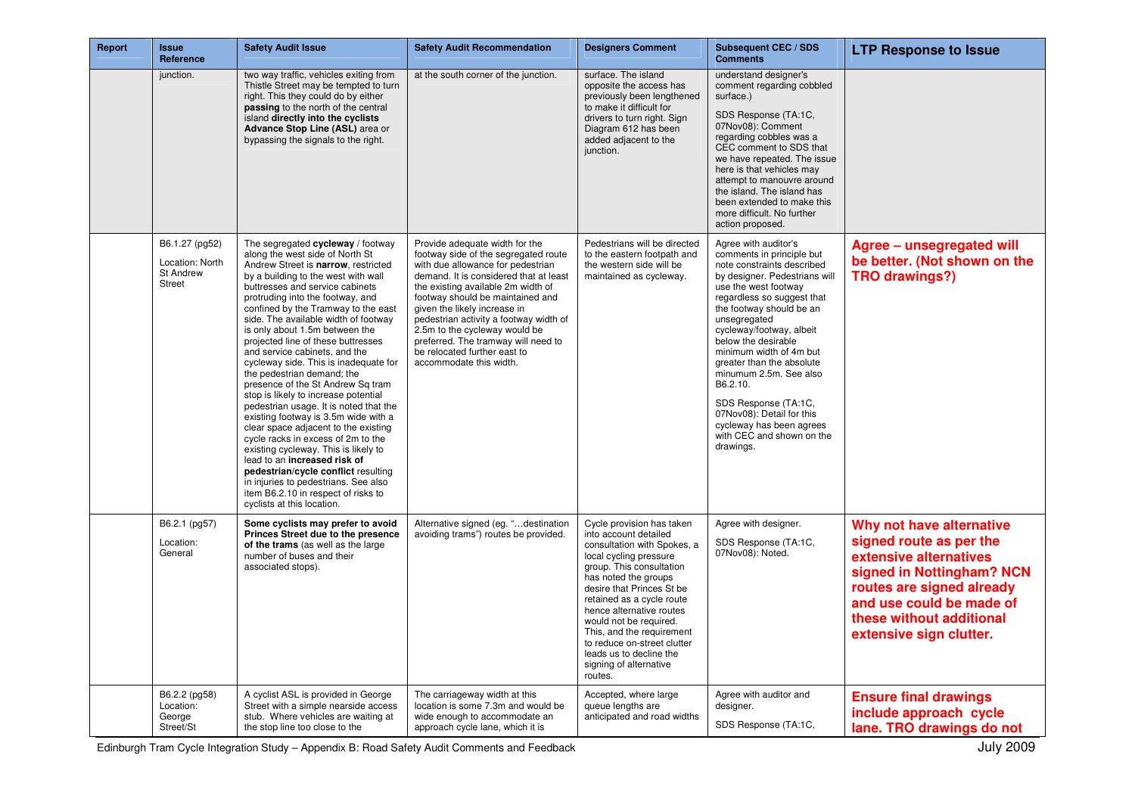| Report | <b>Issue</b><br>Reference                                              | <b>Safety Audit Issue</b>                                                                                                                                                                                                                                                                                                                                                                                                                                                                                                                                                                                                                                                                                                                                                                                                                                                                                                                                         | <b>Safety Audit Recommendation</b>                                                                                                                                                                                                                                                                                                                                                                                                           | <b>Designers Comment</b>                                                                                                                                                                                                                                                                                                                                                                                    | <b>Subsequent CEC / SDS</b><br><b>Comments</b>                                                                                                                                                                                                                                                                                                                                                                                                                                                 | <b>LTP Response to Issue</b>                                                                                                                                                                                               |
|--------|------------------------------------------------------------------------|-------------------------------------------------------------------------------------------------------------------------------------------------------------------------------------------------------------------------------------------------------------------------------------------------------------------------------------------------------------------------------------------------------------------------------------------------------------------------------------------------------------------------------------------------------------------------------------------------------------------------------------------------------------------------------------------------------------------------------------------------------------------------------------------------------------------------------------------------------------------------------------------------------------------------------------------------------------------|----------------------------------------------------------------------------------------------------------------------------------------------------------------------------------------------------------------------------------------------------------------------------------------------------------------------------------------------------------------------------------------------------------------------------------------------|-------------------------------------------------------------------------------------------------------------------------------------------------------------------------------------------------------------------------------------------------------------------------------------------------------------------------------------------------------------------------------------------------------------|------------------------------------------------------------------------------------------------------------------------------------------------------------------------------------------------------------------------------------------------------------------------------------------------------------------------------------------------------------------------------------------------------------------------------------------------------------------------------------------------|----------------------------------------------------------------------------------------------------------------------------------------------------------------------------------------------------------------------------|
|        | junction.                                                              | two way traffic, vehicles exiting from<br>Thistle Street may be tempted to turn<br>right. This they could do by either<br>passing to the north of the central<br>island directly into the cyclists<br>Advance Stop Line (ASL) area or<br>bypassing the signals to the right.                                                                                                                                                                                                                                                                                                                                                                                                                                                                                                                                                                                                                                                                                      | at the south corner of the junction.                                                                                                                                                                                                                                                                                                                                                                                                         | surface. The island<br>opposite the access has<br>previously been lengthened<br>to make it difficult for<br>drivers to turn right. Sign<br>Diagram 612 has been<br>added adjacent to the<br>junction.                                                                                                                                                                                                       | understand designer's<br>comment regarding cobbled<br>surface.)<br>SDS Response (TA:1C,<br>07Nov08): Comment<br>regarding cobbles was a<br>CEC comment to SDS that<br>we have repeated. The issue<br>here is that vehicles may<br>attempt to manouvre around<br>the island. The island has<br>been extended to make this<br>more difficult. No further<br>action proposed.                                                                                                                     |                                                                                                                                                                                                                            |
|        | B6.1.27 (pg52)<br>Location: North<br><b>St Andrew</b><br><b>Street</b> | The segregated cycleway / footway<br>along the west side of North St<br>Andrew Street is narrow, restricted<br>by a building to the west with wall<br>buttresses and service cabinets<br>protruding into the footway, and<br>confined by the Tramway to the east<br>side. The available width of footway<br>is only about 1.5m between the<br>projected line of these buttresses<br>and service cabinets, and the<br>cycleway side. This is inadequate for<br>the pedestrian demand; the<br>presence of the St Andrew Sq tram<br>stop is likely to increase potential<br>pedestrian usage. It is noted that the<br>existing footway is 3.5m wide with a<br>clear space adjacent to the existing<br>cycle racks in excess of 2m to the<br>existing cycleway. This is likely to<br>lead to an increased risk of<br>pedestrian/cycle conflict resulting<br>in injuries to pedestrians. See also<br>item B6.2.10 in respect of risks to<br>cyclists at this location. | Provide adequate width for the<br>footway side of the segregated route<br>with due allowance for pedestrian<br>demand. It is considered that at least<br>the existing available 2m width of<br>footway should be maintained and<br>given the likely increase in<br>pedestrian activity a footway width of<br>2.5m to the cycleway would be<br>preferred. The tramway will need to<br>be relocated further east to<br>accommodate this width. | Pedestrians will be directed<br>to the eastern footpath and<br>the western side will be<br>maintained as cycleway.                                                                                                                                                                                                                                                                                          | Agree with auditor's<br>comments in principle but<br>note constraints described<br>by designer. Pedestrians will<br>use the west footway<br>regardless so suggest that<br>the footway should be an<br>unsegregated<br>cycleway/footway, albeit<br>below the desirable<br>minimum width of 4m but<br>greater than the absolute<br>minumum 2.5m. See also<br>B6.2.10.<br>SDS Response (TA:1C,<br>07Nov08): Detail for this<br>cycleway has been agrees<br>with CEC and shown on the<br>drawings. | Agree - unsegregated will<br>be better. (Not shown on the<br><b>TRO drawings?)</b>                                                                                                                                         |
|        | B6.2.1 (pg57)<br>Location:<br>General                                  | Some cyclists may prefer to avoid<br>Princes Street due to the presence<br>of the trams (as well as the large<br>number of buses and their<br>associated stops).                                                                                                                                                                                                                                                                                                                                                                                                                                                                                                                                                                                                                                                                                                                                                                                                  | Alternative signed (eg. "destination<br>avoiding trams") routes be provided.                                                                                                                                                                                                                                                                                                                                                                 | Cycle provision has taken<br>into account detailed<br>consultation with Spokes, a<br>local cycling pressure<br>group. This consultation<br>has noted the groups<br>desire that Princes St be<br>retained as a cycle route<br>hence alternative routes<br>would not be required.<br>This, and the requirement<br>to reduce on-street clutter<br>leads us to decline the<br>signing of alternative<br>routes. | Agree with designer.<br>SDS Response (TA:1C,<br>07Nov08): Noted.                                                                                                                                                                                                                                                                                                                                                                                                                               | Why not have alternative<br>signed route as per the<br>extensive alternatives<br>signed in Nottingham? NCN<br>routes are signed already<br>and use could be made of<br>these without additional<br>extensive sign clutter. |
|        | B6.2.2 (pg58)<br>Location:<br>George<br>Street/St                      | A cyclist ASL is provided in George<br>Street with a simple nearside access<br>stub. Where vehicles are waiting at<br>the stop line too close to the                                                                                                                                                                                                                                                                                                                                                                                                                                                                                                                                                                                                                                                                                                                                                                                                              | The carriageway width at this<br>location is some 7.3m and would be<br>wide enough to accommodate an<br>approach cycle lane, which it is                                                                                                                                                                                                                                                                                                     | Accepted, where large<br>queue lengths are<br>anticipated and road widths                                                                                                                                                                                                                                                                                                                                   | Agree with auditor and<br>designer.<br>SDS Response (TA:1C,                                                                                                                                                                                                                                                                                                                                                                                                                                    | <b>Ensure final drawings</b><br>include approach cycle<br>lane. TRO drawings do not                                                                                                                                        |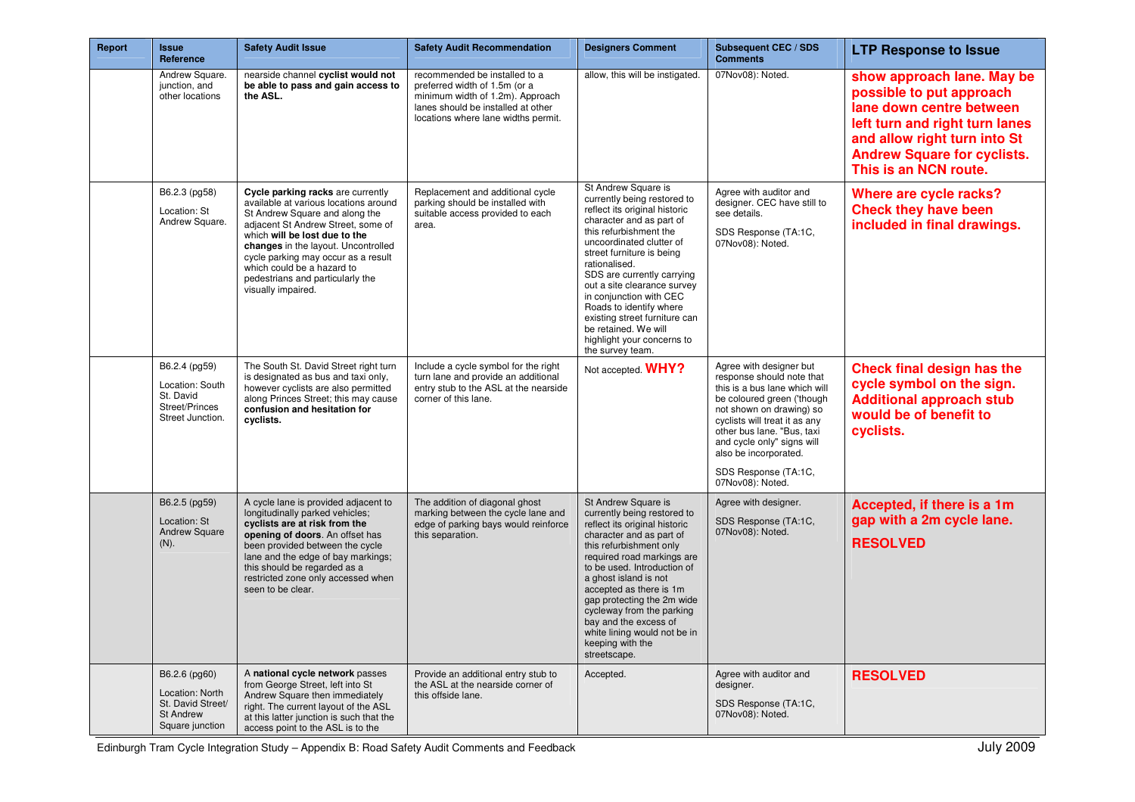| Report | <b>Issue</b><br>Reference                                                                    | <b>Safety Audit Issue</b>                                                                                                                                                                                                                                                                                                                                 | <b>Safety Audit Recommendation</b>                                                                                                                                              | <b>Designers Comment</b>                                                                                                                                                                                                                                                                                                                                                                                                                          | <b>Subsequent CEC / SDS</b><br><b>Comments</b>                                                                                                                                                                                                                                                                    | <b>LTP Response to Issue</b>                                                                                                                                                                                        |
|--------|----------------------------------------------------------------------------------------------|-----------------------------------------------------------------------------------------------------------------------------------------------------------------------------------------------------------------------------------------------------------------------------------------------------------------------------------------------------------|---------------------------------------------------------------------------------------------------------------------------------------------------------------------------------|---------------------------------------------------------------------------------------------------------------------------------------------------------------------------------------------------------------------------------------------------------------------------------------------------------------------------------------------------------------------------------------------------------------------------------------------------|-------------------------------------------------------------------------------------------------------------------------------------------------------------------------------------------------------------------------------------------------------------------------------------------------------------------|---------------------------------------------------------------------------------------------------------------------------------------------------------------------------------------------------------------------|
|        | Andrew Square.<br>junction, and<br>other locations                                           | nearside channel cyclist would not<br>be able to pass and gain access to<br>the ASL.                                                                                                                                                                                                                                                                      | recommended be installed to a<br>preferred width of 1.5m (or a<br>minimum width of 1.2m). Approach<br>lanes should be installed at other<br>locations where lane widths permit. | allow, this will be instigated.                                                                                                                                                                                                                                                                                                                                                                                                                   | 07Nov08): Noted.                                                                                                                                                                                                                                                                                                  | show approach lane. May be<br>possible to put approach<br>lane down centre between<br>left turn and right turn lanes<br>and allow right turn into St<br><b>Andrew Square for cyclists.</b><br>This is an NCN route. |
|        | B6.2.3 (pg58)<br>Location: St<br>Andrew Square.                                              | Cycle parking racks are currently<br>available at various locations around<br>St Andrew Square and along the<br>adiacent St Andrew Street, some of<br>which will be lost due to the<br>changes in the layout. Uncontrolled<br>cycle parking may occur as a result<br>which could be a hazard to<br>pedestrians and particularly the<br>visually impaired. | Replacement and additional cycle<br>parking should be installed with<br>suitable access provided to each<br>area.                                                               | St Andrew Square is<br>currently being restored to<br>reflect its original historic<br>character and as part of<br>this refurbishment the<br>uncoordinated clutter of<br>street furniture is being<br>rationalised.<br>SDS are currently carrying<br>out a site clearance survey<br>in conjunction with CEC<br>Roads to identify where<br>existing street furniture can<br>be retained. We will<br>highlight your concerns to<br>the survey team. | Agree with auditor and<br>designer. CEC have still to<br>see details.<br>SDS Response (TA:1C,<br>07Nov08): Noted.                                                                                                                                                                                                 | Where are cycle racks?<br><b>Check they have been</b><br>included in final drawings.                                                                                                                                |
|        | B6.2.4 (pg59)<br>Location: South<br>St. David<br>Street/Princes<br>Street Junction.          | The South St. David Street right turn<br>is designated as bus and taxi only,<br>however cyclists are also permitted<br>along Princes Street; this may cause<br>confusion and hesitation for<br>cyclists.                                                                                                                                                  | Include a cycle symbol for the right<br>turn lane and provide an additional<br>entry stub to the ASL at the nearside<br>corner of this lane.                                    | Not accepted. WHY?                                                                                                                                                                                                                                                                                                                                                                                                                                | Agree with designer but<br>response should note that<br>this is a bus lane which will<br>be coloured green ('though<br>not shown on drawing) so<br>cyclists will treat it as any<br>other bus lane. "Bus, taxi<br>and cycle only" signs will<br>also be incorporated.<br>SDS Response (TA:1C,<br>07Nov08): Noted. | <b>Check final design has the</b><br>cycle symbol on the sign.<br><b>Additional approach stub</b><br>would be of benefit to<br>cyclists.                                                                            |
|        | B6.2.5 (pg59)<br>Location: St<br><b>Andrew Square</b><br>$(N)$ .                             | A cycle lane is provided adjacent to<br>longitudinally parked vehicles;<br>cyclists are at risk from the<br>opening of doors. An offset has<br>been provided between the cycle<br>lane and the edge of bay markings;<br>this should be regarded as a<br>restricted zone only accessed when<br>seen to be clear.                                           | The addition of diagonal ghost<br>marking between the cycle lane and<br>edge of parking bays would reinforce<br>this separation.                                                | St Andrew Square is<br>currently being restored to<br>reflect its original historic<br>character and as part of<br>this refurbishment only<br>required road markings are<br>to be used. Introduction of<br>a ghost island is not<br>accepted as there is 1m<br>gap protecting the 2m wide<br>cycleway from the parking<br>bay and the excess of<br>white lining would not be in<br>keeping with the<br>streetscape.                               | Agree with designer.<br>SDS Response (TA:1C,<br>07Nov08): Noted.                                                                                                                                                                                                                                                  | Accepted, if there is a 1m<br>gap with a 2m cycle lane.<br><b>RESOLVED</b>                                                                                                                                          |
|        | B6.2.6 (pg60)<br>Location: North<br>St. David Street/<br><b>St Andrew</b><br>Square junction | A national cycle network passes<br>from George Street, left into St<br>Andrew Square then immediately<br>right. The current layout of the ASL<br>at this latter junction is such that the<br>access point to the ASL is to the                                                                                                                            | Provide an additional entry stub to<br>the ASL at the nearside corner of<br>this offside lane.                                                                                  | Accepted.                                                                                                                                                                                                                                                                                                                                                                                                                                         | Agree with auditor and<br>designer.<br>SDS Response (TA:1C,<br>07Nov08): Noted.                                                                                                                                                                                                                                   | <b>RESOLVED</b>                                                                                                                                                                                                     |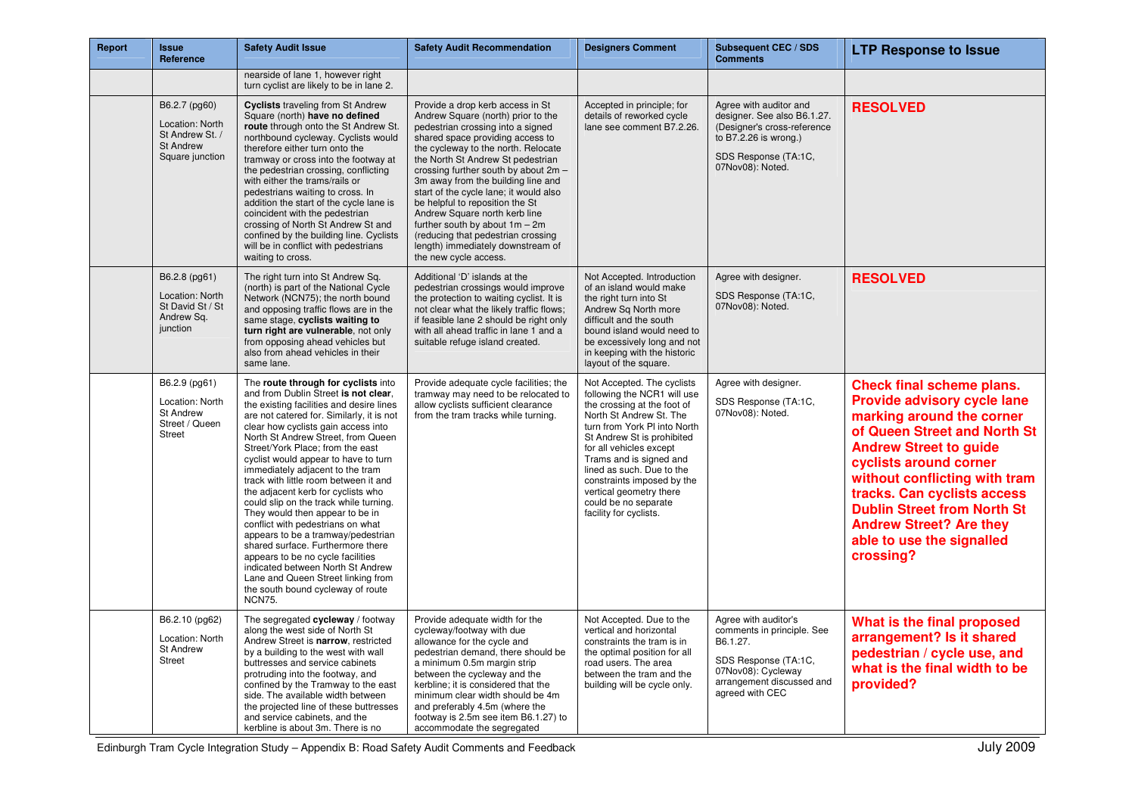| Report | <b>Issue</b><br>Reference                                                                  | <b>Safety Audit Issue</b>                                                                                                                                                                                                                                                                                                                                                                                                                                                                                                                                                                                                                                                                                                                                                                                           | <b>Safety Audit Recommendation</b>                                                                                                                                                                                                                                                                                                                                                                                                                                                                                                                            | <b>Designers Comment</b>                                                                                                                                                                                                                                                                                                                                                        | <b>Subsequent CEC / SDS</b><br><b>Comments</b>                                                                                                               | <b>LTP Response to Issue</b>                                                                                                                                                                                                                                                                                                                                       |
|--------|--------------------------------------------------------------------------------------------|---------------------------------------------------------------------------------------------------------------------------------------------------------------------------------------------------------------------------------------------------------------------------------------------------------------------------------------------------------------------------------------------------------------------------------------------------------------------------------------------------------------------------------------------------------------------------------------------------------------------------------------------------------------------------------------------------------------------------------------------------------------------------------------------------------------------|---------------------------------------------------------------------------------------------------------------------------------------------------------------------------------------------------------------------------------------------------------------------------------------------------------------------------------------------------------------------------------------------------------------------------------------------------------------------------------------------------------------------------------------------------------------|---------------------------------------------------------------------------------------------------------------------------------------------------------------------------------------------------------------------------------------------------------------------------------------------------------------------------------------------------------------------------------|--------------------------------------------------------------------------------------------------------------------------------------------------------------|--------------------------------------------------------------------------------------------------------------------------------------------------------------------------------------------------------------------------------------------------------------------------------------------------------------------------------------------------------------------|
|        |                                                                                            | nearside of lane 1, however right<br>turn cyclist are likely to be in lane 2.                                                                                                                                                                                                                                                                                                                                                                                                                                                                                                                                                                                                                                                                                                                                       |                                                                                                                                                                                                                                                                                                                                                                                                                                                                                                                                                               |                                                                                                                                                                                                                                                                                                                                                                                 |                                                                                                                                                              |                                                                                                                                                                                                                                                                                                                                                                    |
|        | B6.2.7 (pg60)<br>Location: North<br>St Andrew St. /<br><b>St Andrew</b><br>Square junction | <b>Cyclists traveling from St Andrew</b><br>Square (north) have no defined<br>route through onto the St Andrew St.<br>northbound cycleway. Cyclists would<br>therefore either turn onto the<br>tramway or cross into the footway at<br>the pedestrian crossing, conflicting<br>with either the trams/rails or<br>pedestrians waiting to cross. In<br>addition the start of the cycle lane is<br>coincident with the pedestrian<br>crossing of North St Andrew St and<br>confined by the building line. Cyclists<br>will be in conflict with pedestrians<br>waiting to cross.                                                                                                                                                                                                                                        | Provide a drop kerb access in St<br>Andrew Square (north) prior to the<br>pedestrian crossing into a signed<br>shared space providing access to<br>the cycleway to the north. Relocate<br>the North St Andrew St pedestrian<br>crossing further south by about 2m -<br>3m away from the building line and<br>start of the cycle lane; it would also<br>be helpful to reposition the St<br>Andrew Square north kerb line<br>further south by about 1m - 2m<br>(reducing that pedestrian crossing<br>length) immediately downstream of<br>the new cycle access. | Accepted in principle; for<br>details of reworked cycle<br>lane see comment B7.2.26.                                                                                                                                                                                                                                                                                            | Agree with auditor and<br>designer. See also B6.1.27.<br>(Designer's cross-reference<br>to B7.2.26 is wrong.)<br>SDS Response (TA:1C,<br>07Nov08): Noted.    | <b>RESOLVED</b>                                                                                                                                                                                                                                                                                                                                                    |
|        | B6.2.8 (pg61)<br>Location: North<br>St David St / St<br>Andrew Sq.<br>junction             | The right turn into St Andrew Sq.<br>(north) is part of the National Cycle<br>Network (NCN75); the north bound<br>and opposing traffic flows are in the<br>same stage, cyclists waiting to<br>turn right are vulnerable, not only<br>from opposing ahead vehicles but<br>also from ahead vehicles in their<br>same lane.                                                                                                                                                                                                                                                                                                                                                                                                                                                                                            | Additional 'D' islands at the<br>pedestrian crossings would improve<br>the protection to waiting cyclist. It is<br>not clear what the likely traffic flows;<br>if feasible lane 2 should be right only<br>with all ahead traffic in lane 1 and a<br>suitable refuge island created.                                                                                                                                                                                                                                                                           | Not Accepted. Introduction<br>of an island would make<br>the right turn into St<br>Andrew Sq North more<br>difficult and the south<br>bound island would need to<br>be excessively long and not<br>in keeping with the historic<br>layout of the square.                                                                                                                        | Agree with designer.<br>SDS Response (TA:1C,<br>07Nov08): Noted.                                                                                             | <b>RESOLVED</b>                                                                                                                                                                                                                                                                                                                                                    |
|        | B6.2.9 (pg61)<br>Location: North<br><b>St Andrew</b><br>Street / Queen<br><b>Street</b>    | The route through for cyclists into<br>and from Dublin Street is not clear.<br>the existing facilities and desire lines<br>are not catered for. Similarly, it is not<br>clear how cyclists gain access into<br>North St Andrew Street, from Queen<br>Street/York Place; from the east<br>cyclist would appear to have to turn<br>immediately adjacent to the tram<br>track with little room between it and<br>the adjacent kerb for cyclists who<br>could slip on the track while turning.<br>They would then appear to be in<br>conflict with pedestrians on what<br>appears to be a tramway/pedestrian<br>shared surface. Furthermore there<br>appears to be no cycle facilities<br>indicated between North St Andrew<br>Lane and Queen Street linking from<br>the south bound cycleway of route<br><b>NCN75.</b> | Provide adequate cycle facilities; the<br>tramway may need to be relocated to<br>allow cyclists sufficient clearance<br>from the tram tracks while turning.                                                                                                                                                                                                                                                                                                                                                                                                   | Not Accepted. The cyclists<br>following the NCR1 will use<br>the crossing at the foot of<br>North St Andrew St. The<br>turn from York PI into North<br>St Andrew St is prohibited<br>for all vehicles except<br>Trams and is signed and<br>lined as such. Due to the<br>constraints imposed by the<br>vertical geometry there<br>could be no separate<br>facility for cyclists. | Agree with designer.<br>SDS Response (TA:1C,<br>07Nov08): Noted.                                                                                             | Check final scheme plans.<br>Provide advisory cycle lane<br>marking around the corner<br>of Queen Street and North St<br><b>Andrew Street to guide</b><br>cyclists around corner<br>without conflicting with tram<br>tracks. Can cyclists access<br><b>Dublin Street from North St</b><br><b>Andrew Street? Are they</b><br>able to use the signalled<br>crossing? |
|        | B6.2.10 (pg62)<br>Location: North<br><b>St Andrew</b><br>Street                            | The segregated cycleway / footway<br>along the west side of North St<br>Andrew Street is narrow, restricted<br>by a building to the west with wall<br>buttresses and service cabinets<br>protruding into the footway, and<br>confined by the Tramway to the east<br>side. The available width between<br>the projected line of these buttresses<br>and service cabinets, and the<br>kerbline is about 3m. There is no                                                                                                                                                                                                                                                                                                                                                                                               | Provide adequate width for the<br>cycleway/footway with due<br>allowance for the cycle and<br>pedestrian demand, there should be<br>a minimum 0.5m margin strip<br>between the cycleway and the<br>kerbline; it is considered that the<br>minimum clear width should be 4m<br>and preferably 4.5m (where the<br>footway is 2.5m see item B6.1.27) to<br>accommodate the segregated                                                                                                                                                                            | Not Accepted. Due to the<br>vertical and horizontal<br>constraints the tram is in<br>the optimal position for all<br>road users. The area<br>between the tram and the<br>building will be cycle only.                                                                                                                                                                           | Agree with auditor's<br>comments in principle. See<br>B6.1.27.<br>SDS Response (TA:1C,<br>07Nov08): Cycleway<br>arrangement discussed and<br>agreed with CEC | What is the final proposed<br>arrangement? Is it shared<br>pedestrian / cycle use, and<br>what is the final width to be<br>provided?                                                                                                                                                                                                                               |

Edinburgh Tram Cycle Integration Study – Appendix B: Road Safety Audit Comments and Feedback July 2009 July 2009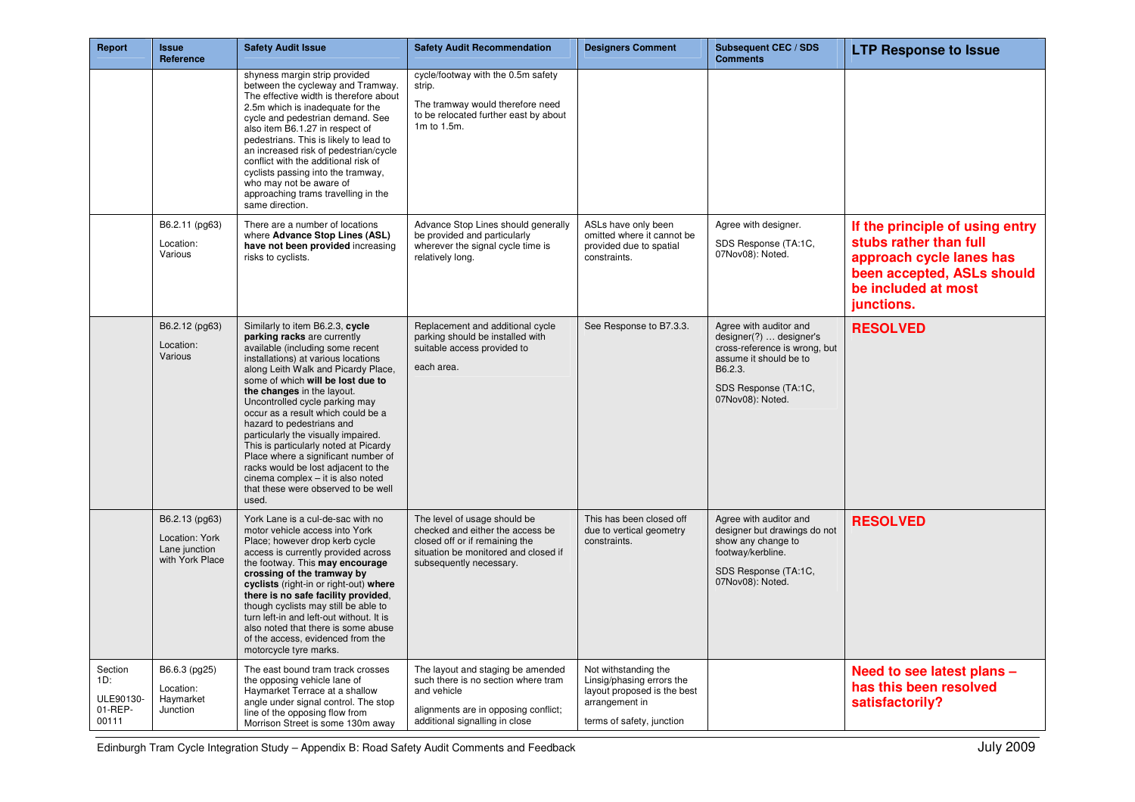| Report                                          | <b>Issue</b><br>Reference                                            | <b>Safety Audit Issue</b>                                                                                                                                                                                                                                                                                                                                                                                                                                                                                                                                                                                   | <b>Safety Audit Recommendation</b>                                                                                                                                    | <b>Designers Comment</b>                                                                                                        | <b>Subsequent CEC / SDS</b><br><b>Comments</b>                                                                                                                      | <b>LTP Response to Issue</b>                                                                                                                             |
|-------------------------------------------------|----------------------------------------------------------------------|-------------------------------------------------------------------------------------------------------------------------------------------------------------------------------------------------------------------------------------------------------------------------------------------------------------------------------------------------------------------------------------------------------------------------------------------------------------------------------------------------------------------------------------------------------------------------------------------------------------|-----------------------------------------------------------------------------------------------------------------------------------------------------------------------|---------------------------------------------------------------------------------------------------------------------------------|---------------------------------------------------------------------------------------------------------------------------------------------------------------------|----------------------------------------------------------------------------------------------------------------------------------------------------------|
|                                                 |                                                                      | shyness margin strip provided<br>between the cycleway and Tramway.<br>The effective width is therefore about<br>2.5m which is inadequate for the<br>cycle and pedestrian demand. See<br>also item B6.1.27 in respect of<br>pedestrians. This is likely to lead to<br>an increased risk of pedestrian/cycle<br>conflict with the additional risk of<br>cyclists passing into the tramway,<br>who may not be aware of<br>approaching trams travelling in the<br>same direction.                                                                                                                               | cycle/footway with the 0.5m safety<br>strip.<br>The tramway would therefore need<br>to be relocated further east by about<br>1m to 1.5m.                              |                                                                                                                                 |                                                                                                                                                                     |                                                                                                                                                          |
|                                                 | B6.2.11 (pg63)<br>Location:<br>Various                               | There are a number of locations<br>where Advance Stop Lines (ASL)<br>have not been provided increasing<br>risks to cyclists.                                                                                                                                                                                                                                                                                                                                                                                                                                                                                | Advance Stop Lines should generally<br>be provided and particularly<br>wherever the signal cycle time is<br>relatively long.                                          | ASLs have only been<br>omitted where it cannot be<br>provided due to spatial<br>constraints.                                    | Agree with designer.<br>SDS Response (TA:1C,<br>07Nov08): Noted.                                                                                                    | If the principle of using entry<br>stubs rather than full<br>approach cycle lanes has<br>been accepted, ASLs should<br>be included at most<br>junctions. |
|                                                 | B6.2.12 (pg63)<br>Location:<br>Various                               | Similarly to item B6.2.3, cycle<br>parking racks are currently<br>available (including some recent<br>installations) at various locations<br>along Leith Walk and Picardy Place,<br>some of which will be lost due to<br>the changes in the layout.<br>Uncontrolled cycle parking may<br>occur as a result which could be a<br>hazard to pedestrians and<br>particularly the visually impaired.<br>This is particularly noted at Picardy<br>Place where a significant number of<br>racks would be lost adjacent to the<br>cinema complex - it is also noted<br>that these were observed to be well<br>used. | Replacement and additional cycle<br>parking should be installed with<br>suitable access provided to<br>each area.                                                     | See Response to B7.3.3.                                                                                                         | Agree with auditor and<br>designer(?)  designer's<br>cross-reference is wrong, but<br>assume it should be to<br>B6.2.3.<br>SDS Response (TA:1C,<br>07Nov08): Noted. | <b>RESOLVED</b>                                                                                                                                          |
|                                                 | B6.2.13 (pg63)<br>Location: York<br>Lane junction<br>with York Place | York Lane is a cul-de-sac with no<br>motor vehicle access into York<br>Place; however drop kerb cycle<br>access is currently provided across<br>the footway. This may encourage<br>crossing of the tramway by<br>cyclists (right-in or right-out) where<br>there is no safe facility provided,<br>though cyclists may still be able to<br>turn left-in and left-out without. It is<br>also noted that there is some abuse<br>of the access, evidenced from the<br>motorcycle tyre marks.                                                                                                                    | The level of usage should be<br>checked and either the access be<br>closed off or if remaining the<br>situation be monitored and closed if<br>subsequently necessary. | This has been closed off<br>due to vertical geometry<br>constraints.                                                            | Agree with auditor and<br>designer but drawings do not<br>show any change to<br>footway/kerbline.<br>SDS Response (TA:1C,<br>07Nov08): Noted.                       | <b>RESOLVED</b>                                                                                                                                          |
| Section<br>1D:<br>ULE90130-<br>01-REP-<br>00111 | B6.6.3 (pg25)<br>Location:<br>Haymarket<br>Junction                  | The east bound tram track crosses<br>the opposing vehicle lane of<br>Haymarket Terrace at a shallow<br>angle under signal control. The stop<br>line of the opposing flow from<br>Morrison Street is some 130m away                                                                                                                                                                                                                                                                                                                                                                                          | The layout and staging be amended<br>such there is no section where tram<br>and vehicle<br>alignments are in opposing conflict;<br>additional signalling in close     | Not withstanding the<br>Linsig/phasing errors the<br>layout proposed is the best<br>arrangement in<br>terms of safety, junction |                                                                                                                                                                     | Need to see latest plans -<br>has this been resolved<br>satisfactorily?                                                                                  |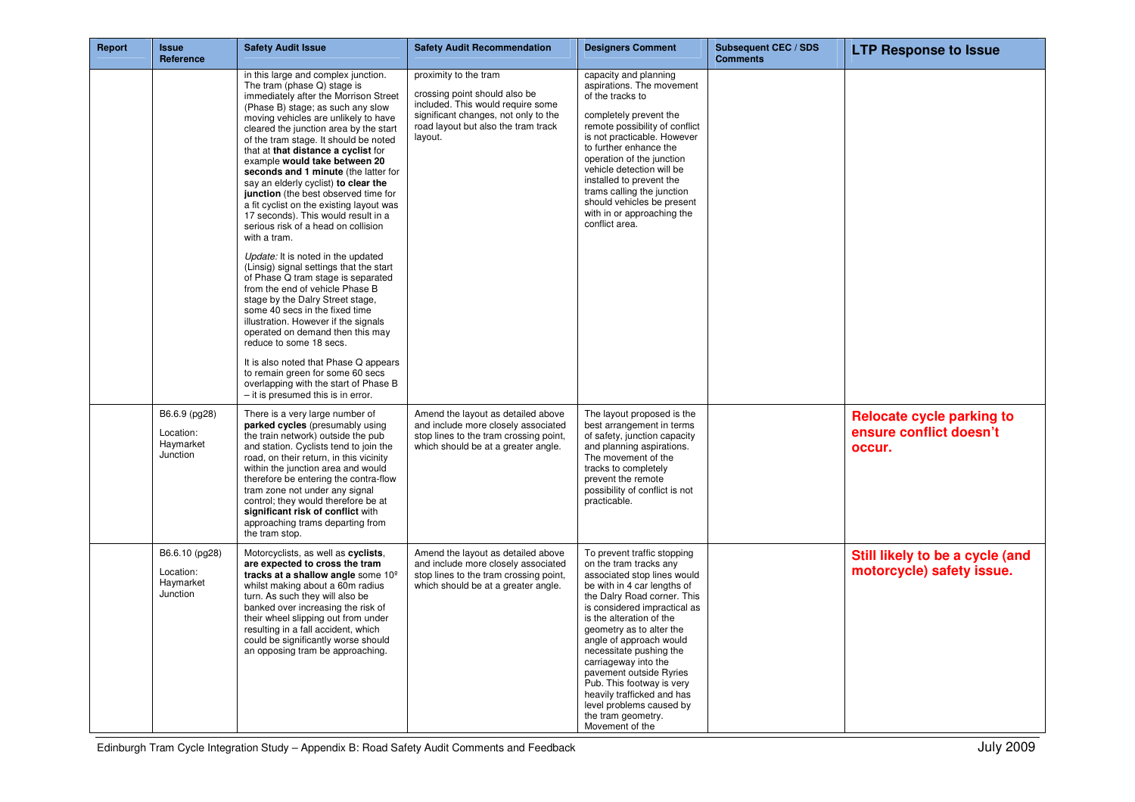| Report | <b>Issue</b><br>Reference                            | <b>Safety Audit Issue</b>                                                                                                                                                                                                                                                                                                                                                                                                                                                                                                                                                                                                                                                                                                                                                                                                                                                                                                                                                                                                                                                                                                  | <b>Safety Audit Recommendation</b>                                                                                                                                                    | <b>Designers Comment</b>                                                                                                                                                                                                                                                                                                                                                                                                                                                            | <b>Subsequent CEC / SDS</b><br><b>Comments</b> | <b>LTP Response to Issue</b>                                          |
|--------|------------------------------------------------------|----------------------------------------------------------------------------------------------------------------------------------------------------------------------------------------------------------------------------------------------------------------------------------------------------------------------------------------------------------------------------------------------------------------------------------------------------------------------------------------------------------------------------------------------------------------------------------------------------------------------------------------------------------------------------------------------------------------------------------------------------------------------------------------------------------------------------------------------------------------------------------------------------------------------------------------------------------------------------------------------------------------------------------------------------------------------------------------------------------------------------|---------------------------------------------------------------------------------------------------------------------------------------------------------------------------------------|-------------------------------------------------------------------------------------------------------------------------------------------------------------------------------------------------------------------------------------------------------------------------------------------------------------------------------------------------------------------------------------------------------------------------------------------------------------------------------------|------------------------------------------------|-----------------------------------------------------------------------|
|        |                                                      | in this large and complex junction.<br>The tram (phase Q) stage is<br>immediately after the Morrison Street<br>(Phase B) stage; as such any slow<br>moving vehicles are unlikely to have<br>cleared the junction area by the start<br>of the tram stage. It should be noted<br>that at that distance a cyclist for<br>example would take between 20<br>seconds and 1 minute (the latter for<br>say an elderly cyclist) to clear the<br>junction (the best observed time for<br>a fit cyclist on the existing layout was<br>17 seconds). This would result in a<br>serious risk of a head on collision<br>with a tram.<br>Update: It is noted in the updated<br>(Linsig) signal settings that the start<br>of Phase Q tram stage is separated<br>from the end of vehicle Phase B<br>stage by the Dalry Street stage,<br>some 40 secs in the fixed time<br>illustration. However if the signals<br>operated on demand then this may<br>reduce to some 18 secs.<br>It is also noted that Phase Q appears<br>to remain green for some 60 secs<br>overlapping with the start of Phase B<br>$-$ it is presumed this is in error. | proximity to the tram<br>crossing point should also be<br>included. This would require some<br>significant changes, not only to the<br>road layout but also the tram track<br>layout. | capacity and planning<br>aspirations. The movement<br>of the tracks to<br>completely prevent the<br>remote possibility of conflict<br>is not practicable. However<br>to further enhance the<br>operation of the junction<br>vehicle detection will be<br>installed to prevent the<br>trams calling the junction<br>should vehicles be present<br>with in or approaching the<br>conflict area.                                                                                       |                                                |                                                                       |
|        | B6.6.9 (pg28)<br>Location:<br>Haymarket<br>Junction  | There is a very large number of<br>parked cycles (presumably using<br>the train network) outside the pub<br>and station. Cyclists tend to join the<br>road, on their return, in this vicinity<br>within the junction area and would<br>therefore be entering the contra-flow<br>tram zone not under any signal<br>control; they would therefore be at<br>significant risk of conflict with<br>approaching trams departing from<br>the tram stop.                                                                                                                                                                                                                                                                                                                                                                                                                                                                                                                                                                                                                                                                           | Amend the layout as detailed above<br>and include more closely associated<br>stop lines to the tram crossing point,<br>which should be at a greater angle.                            | The layout proposed is the<br>best arrangement in terms<br>of safety, junction capacity<br>and planning aspirations.<br>The movement of the<br>tracks to completely<br>prevent the remote<br>possibility of conflict is not<br>practicable.                                                                                                                                                                                                                                         |                                                | <b>Relocate cycle parking to</b><br>ensure conflict doesn't<br>occur. |
|        | B6.6.10 (pg28)<br>Location:<br>Haymarket<br>Junction | Motorcyclists, as well as cyclists,<br>are expected to cross the tram<br>tracks at a shallow angle some 10 <sup>°</sup><br>whilst making about a 60m radius<br>turn. As such they will also be<br>banked over increasing the risk of<br>their wheel slipping out from under<br>resulting in a fall accident, which<br>could be significantly worse should<br>an opposing tram be approaching.                                                                                                                                                                                                                                                                                                                                                                                                                                                                                                                                                                                                                                                                                                                              | Amend the layout as detailed above<br>and include more closely associated<br>stop lines to the tram crossing point,<br>which should be at a greater angle.                            | To prevent traffic stopping<br>on the tram tracks any<br>associated stop lines would<br>be with in 4 car lengths of<br>the Dalry Road corner. This<br>is considered impractical as<br>is the alteration of the<br>geometry as to alter the<br>angle of approach would<br>necessitate pushing the<br>carriageway into the<br>pavement outside Ryries<br>Pub. This footway is very<br>heavily trafficked and has<br>level problems caused by<br>the tram geometry.<br>Movement of the |                                                | Still likely to be a cycle (and<br>motorcycle) safety issue.          |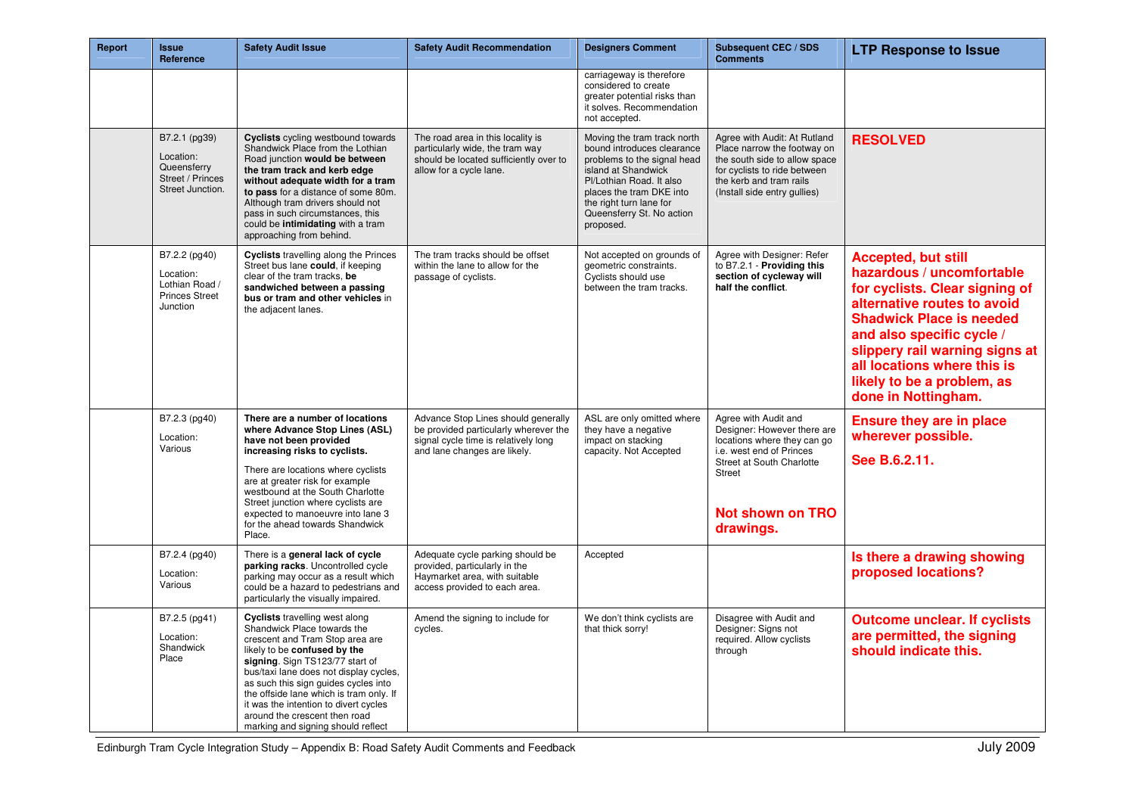| <b>Report</b> | <b>Issue</b><br>Reference                                                         | <b>Safety Audit Issue</b>                                                                                                                                                                                                                                                                                                                                                                                               | <b>Safety Audit Recommendation</b>                                                                                                                   | <b>Designers Comment</b>                                                                                                                                                                                                                     | Subsequent CEC / SDS<br><b>Comments</b>                                                                                                                                                              | <b>LTP Response to Issue</b>                                                                                                                                                                                                                                                                                   |
|---------------|-----------------------------------------------------------------------------------|-------------------------------------------------------------------------------------------------------------------------------------------------------------------------------------------------------------------------------------------------------------------------------------------------------------------------------------------------------------------------------------------------------------------------|------------------------------------------------------------------------------------------------------------------------------------------------------|----------------------------------------------------------------------------------------------------------------------------------------------------------------------------------------------------------------------------------------------|------------------------------------------------------------------------------------------------------------------------------------------------------------------------------------------------------|----------------------------------------------------------------------------------------------------------------------------------------------------------------------------------------------------------------------------------------------------------------------------------------------------------------|
|               |                                                                                   |                                                                                                                                                                                                                                                                                                                                                                                                                         |                                                                                                                                                      | carriageway is therefore<br>considered to create<br>greater potential risks than<br>it solves. Recommendation<br>not accepted.                                                                                                               |                                                                                                                                                                                                      |                                                                                                                                                                                                                                                                                                                |
|               | B7.2.1 (pg39)<br>Location:<br>Queensferry<br>Street / Princes<br>Street Junction. | Cyclists cycling westbound towards<br>Shandwick Place from the Lothian<br>Road junction would be between<br>the tram track and kerb edge<br>without adequate width for a tram<br>to pass for a distance of some 80m.<br>Although tram drivers should not<br>pass in such circumstances, this<br>could be intimidating with a tram<br>approaching from behind.                                                           | The road area in this locality is<br>particularly wide, the tram way<br>should be located sufficiently over to<br>allow for a cycle lane.            | Moving the tram track north<br>bound introduces clearance<br>problems to the signal head<br>island at Shandwick<br>Pl/Lothian Road. It also<br>places the tram DKE into<br>the right turn lane for<br>Queensferry St. No action<br>proposed. | Agree with Audit: At Rutland<br>Place narrow the footway on<br>the south side to allow space<br>for cyclists to ride between<br>the kerb and tram rails<br>(Install side entry gullies)              | <b>RESOLVED</b>                                                                                                                                                                                                                                                                                                |
|               | B7.2.2 (pg40)<br>Location:<br>Lothian Road /<br><b>Princes Street</b><br>Junction | <b>Cyclists</b> travelling along the Princes<br>Street bus lane could, if keeping<br>clear of the tram tracks, be<br>sandwiched between a passing<br>bus or tram and other vehicles in<br>the adjacent lanes.                                                                                                                                                                                                           | The tram tracks should be offset<br>within the lane to allow for the<br>passage of cyclists.                                                         | Not accepted on grounds of<br>geometric constraints.<br>Cyclists should use<br>between the tram tracks.                                                                                                                                      | Agree with Designer: Refer<br>to B7.2.1 - Providing this<br>section of cycleway will<br>half the conflict.                                                                                           | <b>Accepted, but still</b><br>hazardous / uncomfortable<br>for cyclists. Clear signing of<br>alternative routes to avoid<br><b>Shadwick Place is needed</b><br>and also specific cycle /<br>slippery rail warning signs at<br>all locations where this is<br>likely to be a problem, as<br>done in Nottingham. |
|               | B7.2.3 (pg40)<br>Location:<br>Various                                             | There are a number of locations<br>where Advance Stop Lines (ASL)<br>have not been provided<br>increasing risks to cyclists.<br>There are locations where cyclists<br>are at greater risk for example<br>westbound at the South Charlotte<br>Street junction where cyclists are<br>expected to manoeuvre into lane 3<br>for the ahead towards Shandwick<br>Place.                                                       | Advance Stop Lines should generally<br>be provided particularly wherever the<br>signal cycle time is relatively long<br>and lane changes are likely. | ASL are only omitted where<br>they have a negative<br>impact on stacking<br>capacity. Not Accepted                                                                                                                                           | Agree with Audit and<br>Designer: However there are<br>locations where they can go<br>i.e. west end of Princes<br>Street at South Charlotte<br><b>Street</b><br><b>Not shown on TRO</b><br>drawings. | <b>Ensure they are in place</b><br>wherever possible.<br>See B.6.2.11.                                                                                                                                                                                                                                         |
|               | B7.2.4 (pg40)<br>Location:<br>Various                                             | There is a general lack of cycle<br>parking racks. Uncontrolled cycle<br>parking may occur as a result which<br>could be a hazard to pedestrians and<br>particularly the visually impaired.                                                                                                                                                                                                                             | Adequate cycle parking should be<br>provided, particularly in the<br>Haymarket area, with suitable<br>access provided to each area.                  | Accepted                                                                                                                                                                                                                                     |                                                                                                                                                                                                      | Is there a drawing showing<br>proposed locations?                                                                                                                                                                                                                                                              |
|               | B7.2.5 (pg41)<br>Location:<br>Shandwick<br>Place                                  | <b>Cyclists</b> travelling west along<br>Shandwick Place towards the<br>crescent and Tram Stop area are<br>likely to be confused by the<br>signing. Sign TS123/77 start of<br>bus/taxi lane does not display cycles,<br>as such this sign guides cycles into<br>the offside lane which is tram only. If<br>it was the intention to divert cycles<br>around the crescent then road<br>marking and signing should reflect | Amend the signing to include for<br>cycles.                                                                                                          | We don't think cyclists are<br>that thick sorry!                                                                                                                                                                                             | Disagree with Audit and<br>Designer: Signs not<br>required. Allow cyclists<br>through                                                                                                                | <b>Outcome unclear. If cyclists</b><br>are permitted, the signing<br>should indicate this.                                                                                                                                                                                                                     |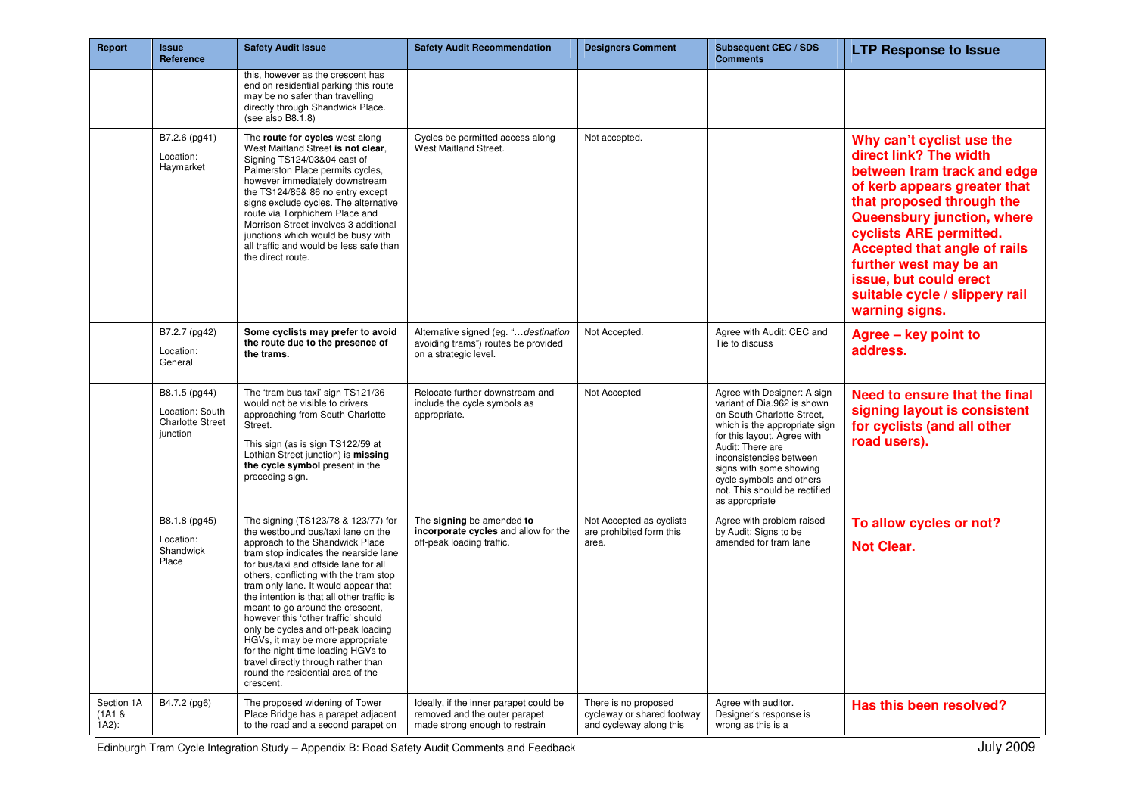| Report                          | <b>Issue</b><br>Reference                                               | <b>Safety Audit Issue</b>                                                                                                                                                                                                                                                                                                                                                                                                                                                                                                                                                                                           | <b>Safety Audit Recommendation</b>                                                                        | <b>Designers Comment</b>                                                      | <b>Subsequent CEC / SDS</b><br><b>Comments</b>                                                                                                                                                                                                                                                                    | <b>LTP Response to Issue</b>                                                                                                                                                                                                                                                                                                                            |
|---------------------------------|-------------------------------------------------------------------------|---------------------------------------------------------------------------------------------------------------------------------------------------------------------------------------------------------------------------------------------------------------------------------------------------------------------------------------------------------------------------------------------------------------------------------------------------------------------------------------------------------------------------------------------------------------------------------------------------------------------|-----------------------------------------------------------------------------------------------------------|-------------------------------------------------------------------------------|-------------------------------------------------------------------------------------------------------------------------------------------------------------------------------------------------------------------------------------------------------------------------------------------------------------------|---------------------------------------------------------------------------------------------------------------------------------------------------------------------------------------------------------------------------------------------------------------------------------------------------------------------------------------------------------|
|                                 |                                                                         | this, however as the crescent has<br>end on residential parking this route<br>may be no safer than travelling<br>directly through Shandwick Place.<br>(see also B8.1.8)                                                                                                                                                                                                                                                                                                                                                                                                                                             |                                                                                                           |                                                                               |                                                                                                                                                                                                                                                                                                                   |                                                                                                                                                                                                                                                                                                                                                         |
|                                 | B7.2.6 (pg41)<br>Location:<br>Haymarket                                 | The route for cycles west along<br>West Maitland Street is not clear.<br>Signing TS124/03&04 east of<br>Palmerston Place permits cycles,<br>however immediately downstream<br>the TS124/85& 86 no entry except<br>signs exclude cycles. The alternative<br>route via Torphichem Place and<br>Morrison Street involves 3 additional<br>junctions which would be busy with<br>all traffic and would be less safe than<br>the direct route.                                                                                                                                                                            | Cycles be permitted access along<br>West Maitland Street.                                                 | Not accepted.                                                                 |                                                                                                                                                                                                                                                                                                                   | Why can't cyclist use the<br>direct link? The width<br>between tram track and edge<br>of kerb appears greater that<br>that proposed through the<br>Queensbury junction, where<br>cyclists ARE permitted.<br><b>Accepted that angle of rails</b><br>further west may be an<br>issue, but could erect<br>suitable cycle / slippery rail<br>warning signs. |
|                                 | B7.2.7 (pg42)<br>Location:<br>General                                   | Some cyclists may prefer to avoid<br>the route due to the presence of<br>the trams.                                                                                                                                                                                                                                                                                                                                                                                                                                                                                                                                 | Alternative signed (eg. "destination<br>avoiding trams") routes be provided<br>on a strategic level.      | Not Accepted.                                                                 | Agree with Audit: CEC and<br>Tie to discuss                                                                                                                                                                                                                                                                       | Agree - key point to<br>address.                                                                                                                                                                                                                                                                                                                        |
|                                 | B8.1.5 (pg44)<br>Location: South<br><b>Charlotte Street</b><br>junction | The 'tram bus taxi' sign TS121/36<br>would not be visible to drivers<br>approaching from South Charlotte<br>Street.<br>This sign (as is sign TS122/59 at<br>Lothian Street junction) is missing<br>the cycle symbol present in the<br>preceding sign.                                                                                                                                                                                                                                                                                                                                                               | Relocate further downstream and<br>include the cycle symbols as<br>appropriate.                           | Not Accepted                                                                  | Agree with Designer: A sign<br>variant of Dia.962 is shown<br>on South Charlotte Street,<br>which is the appropriate sign<br>for this layout. Agree with<br>Audit: There are<br>inconsistencies between<br>signs with some showing<br>cycle symbols and others<br>not. This should be rectified<br>as appropriate | Need to ensure that the final<br>signing layout is consistent<br>for cyclists (and all other<br>road users).                                                                                                                                                                                                                                            |
|                                 | B8.1.8 (pg45)<br>Location:<br>Shandwick<br>Place                        | The signing (TS123/78 & 123/77) for<br>the westbound bus/taxi lane on the<br>approach to the Shandwick Place<br>tram stop indicates the nearside lane<br>for bus/taxi and offside lane for all<br>others, conflicting with the tram stop<br>tram only lane. It would appear that<br>the intention is that all other traffic is<br>meant to go around the crescent,<br>however this 'other traffic' should<br>only be cycles and off-peak loading<br>HGVs, it may be more appropriate<br>for the night-time loading HGVs to<br>travel directly through rather than<br>round the residential area of the<br>crescent. | The signing be amended to<br>incorporate cycles and allow for the<br>off-peak loading traffic.            | Not Accepted as cyclists<br>are prohibited form this<br>area.                 | Agree with problem raised<br>by Audit: Signs to be<br>amended for tram lane                                                                                                                                                                                                                                       | To allow cycles or not?<br><b>Not Clear.</b>                                                                                                                                                                                                                                                                                                            |
| Section 1A<br>(1A1 &<br>$1A2$ : | B4.7.2 (pg6)                                                            | The proposed widening of Tower<br>Place Bridge has a parapet adjacent<br>to the road and a second parapet on                                                                                                                                                                                                                                                                                                                                                                                                                                                                                                        | Ideally, if the inner parapet could be<br>removed and the outer parapet<br>made strong enough to restrain | There is no proposed<br>cycleway or shared footway<br>and cycleway along this | Agree with auditor.<br>Designer's response is<br>wrong as this is a                                                                                                                                                                                                                                               | Has this been resolved?                                                                                                                                                                                                                                                                                                                                 |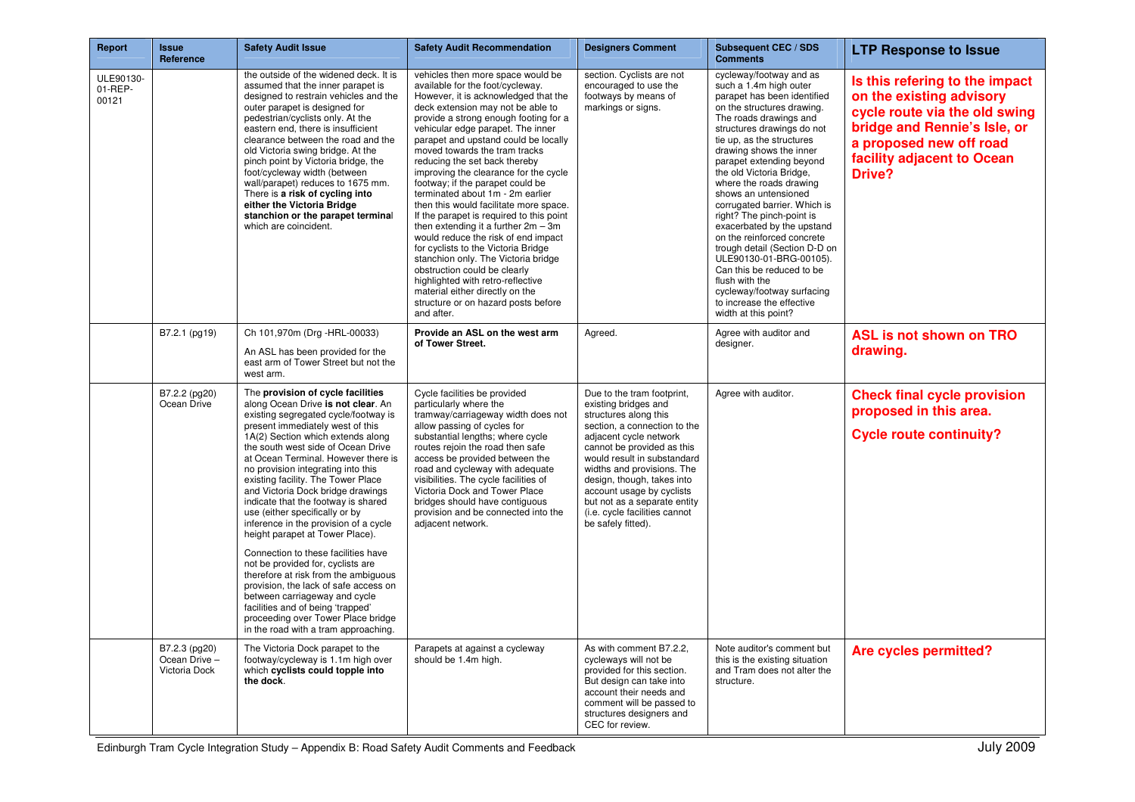| Report                        | <b>Issue</b><br>Reference                       | <b>Safety Audit Issue</b>                                                                                                                                                                                                                                                                                                                                                                                                                                                                                                                                                                                                                                                                                                                                                                                                                                    | <b>Safety Audit Recommendation</b>                                                                                                                                                                                                                                                                                                                                                                                                                                                                                                                                                                                                                                                                                                                                                                                                                                           | <b>Designers Comment</b>                                                                                                                                                                                                                                                                                                                                                           | <b>Subsequent CEC / SDS</b><br><b>Comments</b>                                                                                                                                                                                                                                                                                                                                                                                                                                                                                                                                                                                                                   | <b>LTP Response to Issue</b>                                                                                                                                                                   |
|-------------------------------|-------------------------------------------------|--------------------------------------------------------------------------------------------------------------------------------------------------------------------------------------------------------------------------------------------------------------------------------------------------------------------------------------------------------------------------------------------------------------------------------------------------------------------------------------------------------------------------------------------------------------------------------------------------------------------------------------------------------------------------------------------------------------------------------------------------------------------------------------------------------------------------------------------------------------|------------------------------------------------------------------------------------------------------------------------------------------------------------------------------------------------------------------------------------------------------------------------------------------------------------------------------------------------------------------------------------------------------------------------------------------------------------------------------------------------------------------------------------------------------------------------------------------------------------------------------------------------------------------------------------------------------------------------------------------------------------------------------------------------------------------------------------------------------------------------------|------------------------------------------------------------------------------------------------------------------------------------------------------------------------------------------------------------------------------------------------------------------------------------------------------------------------------------------------------------------------------------|------------------------------------------------------------------------------------------------------------------------------------------------------------------------------------------------------------------------------------------------------------------------------------------------------------------------------------------------------------------------------------------------------------------------------------------------------------------------------------------------------------------------------------------------------------------------------------------------------------------------------------------------------------------|------------------------------------------------------------------------------------------------------------------------------------------------------------------------------------------------|
| ULE90130-<br>01-REP-<br>00121 |                                                 | the outside of the widened deck. It is<br>assumed that the inner parapet is<br>designed to restrain vehicles and the<br>outer parapet is designed for<br>pedestrian/cyclists only. At the<br>eastern end, there is insufficient<br>clearance between the road and the<br>old Victoria swing bridge. At the<br>pinch point by Victoria bridge, the<br>foot/cycleway width (between<br>wall/parapet) reduces to 1675 mm.<br>There is a risk of cycling into<br>either the Victoria Bridge<br>stanchion or the parapet terminal<br>which are coincident.                                                                                                                                                                                                                                                                                                        | vehicles then more space would be<br>available for the foot/cycleway.<br>However, it is acknowledged that the<br>deck extension may not be able to<br>provide a strong enough footing for a<br>vehicular edge parapet. The inner<br>parapet and upstand could be locally<br>moved towards the tram tracks<br>reducing the set back thereby<br>improving the clearance for the cycle<br>footway; if the parapet could be<br>terminated about 1m - 2m earlier<br>then this would facilitate more space.<br>If the parapet is required to this point<br>then extending it a further $2m - 3m$<br>would reduce the risk of end impact<br>for cyclists to the Victoria Bridge<br>stanchion only. The Victoria bridge<br>obstruction could be clearly<br>highlighted with retro-reflective<br>material either directly on the<br>structure or on hazard posts before<br>and after. | section. Cyclists are not<br>encouraged to use the<br>footways by means of<br>markings or signs.                                                                                                                                                                                                                                                                                   | cycleway/footway and as<br>such a 1.4m high outer<br>parapet has been identified<br>on the structures drawing.<br>The roads drawings and<br>structures drawings do not<br>tie up, as the structures<br>drawing shows the inner<br>parapet extending beyond<br>the old Victoria Bridge,<br>where the roads drawing<br>shows an untensioned<br>corrugated barrier. Which is<br>right? The pinch-point is<br>exacerbated by the upstand<br>on the reinforced concrete<br>trough detail (Section D-D on<br>ULE90130-01-BRG-00105).<br>Can this be reduced to be<br>flush with the<br>cycleway/footway surfacing<br>to increase the effective<br>width at this point? | Is this refering to the impact<br>on the existing advisory<br>cycle route via the old swing<br>bridge and Rennie's Isle, or<br>a proposed new off road<br>facility adjacent to Ocean<br>Drive? |
|                               | B7.2.1 (pg19)                                   | Ch 101,970m (Drg -HRL-00033)<br>An ASL has been provided for the                                                                                                                                                                                                                                                                                                                                                                                                                                                                                                                                                                                                                                                                                                                                                                                             | Provide an ASL on the west arm<br>of Tower Street.                                                                                                                                                                                                                                                                                                                                                                                                                                                                                                                                                                                                                                                                                                                                                                                                                           | Agreed.                                                                                                                                                                                                                                                                                                                                                                            | Agree with auditor and<br>designer.                                                                                                                                                                                                                                                                                                                                                                                                                                                                                                                                                                                                                              | ASL is not shown on TRO<br>drawing.                                                                                                                                                            |
|                               |                                                 | east arm of Tower Street but not the<br>west arm.                                                                                                                                                                                                                                                                                                                                                                                                                                                                                                                                                                                                                                                                                                                                                                                                            |                                                                                                                                                                                                                                                                                                                                                                                                                                                                                                                                                                                                                                                                                                                                                                                                                                                                              |                                                                                                                                                                                                                                                                                                                                                                                    |                                                                                                                                                                                                                                                                                                                                                                                                                                                                                                                                                                                                                                                                  |                                                                                                                                                                                                |
|                               | B7.2.2 (pg20)<br>Ocean Drive                    | The provision of cycle facilities<br>along Ocean Drive is not clear. An<br>existing segregated cycle/footway is<br>present immediately west of this<br>1A(2) Section which extends along<br>the south west side of Ocean Drive<br>at Ocean Terminal. However there is<br>no provision integrating into this<br>existing facility. The Tower Place<br>and Victoria Dock bridge drawings<br>indicate that the footway is shared<br>use (either specifically or by<br>inference in the provision of a cycle<br>height parapet at Tower Place).<br>Connection to these facilities have<br>not be provided for, cyclists are<br>therefore at risk from the ambiguous<br>provision, the lack of safe access on<br>between carriageway and cycle<br>facilities and of being 'trapped'<br>proceeding over Tower Place bridge<br>in the road with a tram approaching. | Cycle facilities be provided<br>particularly where the<br>tramway/carriageway width does not<br>allow passing of cycles for<br>substantial lengths; where cycle<br>routes rejoin the road then safe<br>access be provided between the<br>road and cycleway with adequate<br>visibilities. The cycle facilities of<br>Victoria Dock and Tower Place<br>bridges should have contiguous<br>provision and be connected into the<br>adjacent network.                                                                                                                                                                                                                                                                                                                                                                                                                             | Due to the tram footprint,<br>existing bridges and<br>structures along this<br>section, a connection to the<br>adjacent cycle network<br>cannot be provided as this<br>would result in substandard<br>widths and provisions. The<br>design, though, takes into<br>account usage by cyclists<br>but not as a separate entity<br>(i.e. cycle facilities cannot<br>be safely fitted). | Agree with auditor.                                                                                                                                                                                                                                                                                                                                                                                                                                                                                                                                                                                                                                              | <b>Check final cycle provision</b><br>proposed in this area.<br><b>Cycle route continuity?</b>                                                                                                 |
|                               | B7.2.3 (pg20)<br>Ocean Drive -<br>Victoria Dock | The Victoria Dock parapet to the<br>footway/cycleway is 1.1m high over<br>which cyclists could topple into<br>the dock.                                                                                                                                                                                                                                                                                                                                                                                                                                                                                                                                                                                                                                                                                                                                      | Parapets at against a cycleway<br>should be 1.4m high.                                                                                                                                                                                                                                                                                                                                                                                                                                                                                                                                                                                                                                                                                                                                                                                                                       | As with comment B7.2.2.<br>cycleways will not be<br>provided for this section.<br>But design can take into<br>account their needs and<br>comment will be passed to<br>structures designers and<br>CEC for review.                                                                                                                                                                  | Note auditor's comment but<br>this is the existing situation<br>and Tram does not alter the<br>structure.                                                                                                                                                                                                                                                                                                                                                                                                                                                                                                                                                        | <b>Are cycles permitted?</b>                                                                                                                                                                   |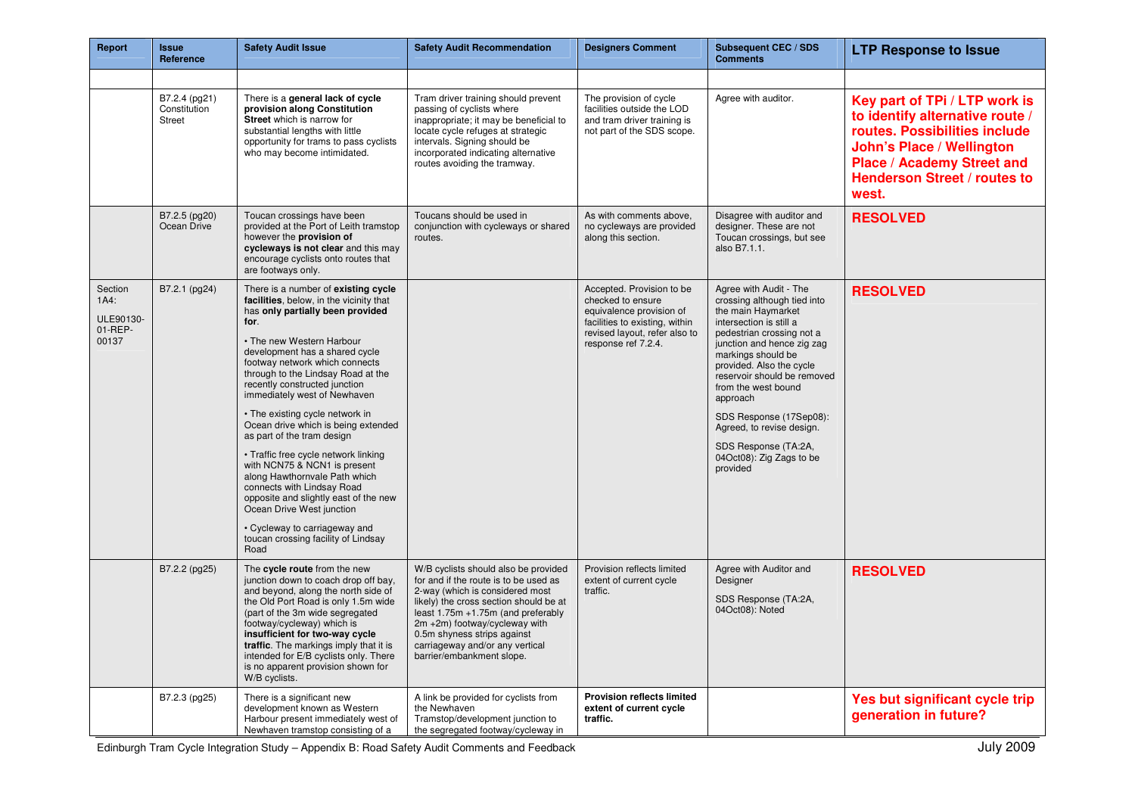| Report                                           | Issue<br>Reference                      | <b>Safety Audit Issue</b>                                                                                                                                                                                                                                                                                                                                                                                                                                                                                                                                                                                                                                                                                                               | <b>Safety Audit Recommendation</b>                                                                                                                                                                                                                                                                                               | <b>Designers Comment</b>                                                                                                                                             | Subsequent CEC / SDS<br><b>Comments</b>                                                                                                                                                                                                                                                                                                                                                                       | <b>LTP Response to Issue</b>                                                                                                                                                                                               |
|--------------------------------------------------|-----------------------------------------|-----------------------------------------------------------------------------------------------------------------------------------------------------------------------------------------------------------------------------------------------------------------------------------------------------------------------------------------------------------------------------------------------------------------------------------------------------------------------------------------------------------------------------------------------------------------------------------------------------------------------------------------------------------------------------------------------------------------------------------------|----------------------------------------------------------------------------------------------------------------------------------------------------------------------------------------------------------------------------------------------------------------------------------------------------------------------------------|----------------------------------------------------------------------------------------------------------------------------------------------------------------------|---------------------------------------------------------------------------------------------------------------------------------------------------------------------------------------------------------------------------------------------------------------------------------------------------------------------------------------------------------------------------------------------------------------|----------------------------------------------------------------------------------------------------------------------------------------------------------------------------------------------------------------------------|
|                                                  |                                         |                                                                                                                                                                                                                                                                                                                                                                                                                                                                                                                                                                                                                                                                                                                                         |                                                                                                                                                                                                                                                                                                                                  |                                                                                                                                                                      |                                                                                                                                                                                                                                                                                                                                                                                                               |                                                                                                                                                                                                                            |
|                                                  | B7.2.4 (pg21)<br>Constitution<br>Street | There is a general lack of cycle<br>provision along Constitution<br>Street which is narrow for<br>substantial lengths with little<br>opportunity for trams to pass cyclists<br>who may become intimidated.                                                                                                                                                                                                                                                                                                                                                                                                                                                                                                                              | Tram driver training should prevent<br>passing of cyclists where<br>inappropriate; it may be beneficial to<br>locate cycle refuges at strategic<br>intervals. Signing should be<br>incorporated indicating alternative<br>routes avoiding the tramway.                                                                           | The provision of cycle<br>facilities outside the LOD<br>and tram driver training is<br>not part of the SDS scope.                                                    | Agree with auditor.                                                                                                                                                                                                                                                                                                                                                                                           | Key part of TPi / LTP work is<br>to identify alternative route /<br>routes. Possibilities include<br><b>John's Place / Wellington</b><br><b>Place / Academy Street and</b><br><b>Henderson Street / routes to</b><br>west. |
|                                                  | B7.2.5 (pg20)<br>Ocean Drive            | Toucan crossings have been<br>provided at the Port of Leith tramstop<br>however the provision of<br>cycleways is not clear and this may<br>encourage cyclists onto routes that<br>are footways only.                                                                                                                                                                                                                                                                                                                                                                                                                                                                                                                                    | Toucans should be used in<br>conjunction with cycleways or shared<br>routes.                                                                                                                                                                                                                                                     | As with comments above,<br>no cycleways are provided<br>along this section.                                                                                          | Disagree with auditor and<br>designer. These are not<br>Toucan crossings, but see<br>also B7.1.1.                                                                                                                                                                                                                                                                                                             | <b>RESOLVED</b>                                                                                                                                                                                                            |
| Section<br>1A4:<br>ULE90130-<br>01-REP-<br>00137 | B7.2.1 (pg24)                           | There is a number of existing cycle<br>facilities, below, in the vicinity that<br>has only partially been provided<br>for.<br>• The new Western Harbour<br>development has a shared cycle<br>footway network which connects<br>through to the Lindsay Road at the<br>recently constructed junction<br>immediately west of Newhaven<br>• The existing cycle network in<br>Ocean drive which is being extended<br>as part of the tram design<br>• Traffic free cycle network linking<br>with NCN75 & NCN1 is present<br>along Hawthornvale Path which<br>connects with Lindsay Road<br>opposite and slightly east of the new<br>Ocean Drive West junction<br>• Cycleway to carriageway and<br>toucan crossing facility of Lindsay<br>Road |                                                                                                                                                                                                                                                                                                                                  | Accepted. Provision to be<br>checked to ensure<br>equivalence provision of<br>facilities to existing, within<br>revised layout, refer also to<br>response ref 7.2.4. | Agree with Audit - The<br>crossing although tied into<br>the main Haymarket<br>intersection is still a<br>pedestrian crossing not a<br>junction and hence zig zag<br>markings should be<br>provided. Also the cycle<br>reservoir should be removed<br>from the west bound<br>approach<br>SDS Response (17Sep08):<br>Agreed, to revise design.<br>SDS Response (TA:2A,<br>04Oct08): Zig Zags to be<br>provided | <b>RESOLVED</b>                                                                                                                                                                                                            |
|                                                  | B7.2.2 (pg25)                           | The cycle route from the new<br>junction down to coach drop off bay,<br>and beyond, along the north side of<br>the Old Port Road is only 1.5m wide<br>(part of the 3m wide segregated<br>footway/cycleway) which is<br>insufficient for two-way cycle<br>traffic. The markings imply that it is<br>intended for E/B cyclists only. There<br>is no apparent provision shown for<br>W/B cyclists.                                                                                                                                                                                                                                                                                                                                         | W/B cyclists should also be provided<br>for and if the route is to be used as<br>2-way (which is considered most<br>likely) the cross section should be at<br>least 1.75m +1.75m (and preferably<br>2m +2m) footway/cycleway with<br>0.5m shyness strips against<br>carriageway and/or any vertical<br>barrier/embankment slope. | Provision reflects limited<br>extent of current cycle<br>traffic.                                                                                                    | Agree with Auditor and<br>Designer<br>SDS Response (TA:2A,<br>04Oct08): Noted                                                                                                                                                                                                                                                                                                                                 | <b>RESOLVED</b>                                                                                                                                                                                                            |
|                                                  | B7.2.3 (pg25)                           | There is a significant new<br>development known as Western<br>Harbour present immediately west of<br>Newhaven tramstop consisting of a                                                                                                                                                                                                                                                                                                                                                                                                                                                                                                                                                                                                  | A link be provided for cyclists from<br>the Newhaven<br>Tramstop/development junction to<br>the segregated footway/cycleway in                                                                                                                                                                                                   | <b>Provision reflects limited</b><br>extent of current cycle<br>traffic.                                                                                             |                                                                                                                                                                                                                                                                                                                                                                                                               | Yes but significant cycle trip<br>generation in future?                                                                                                                                                                    |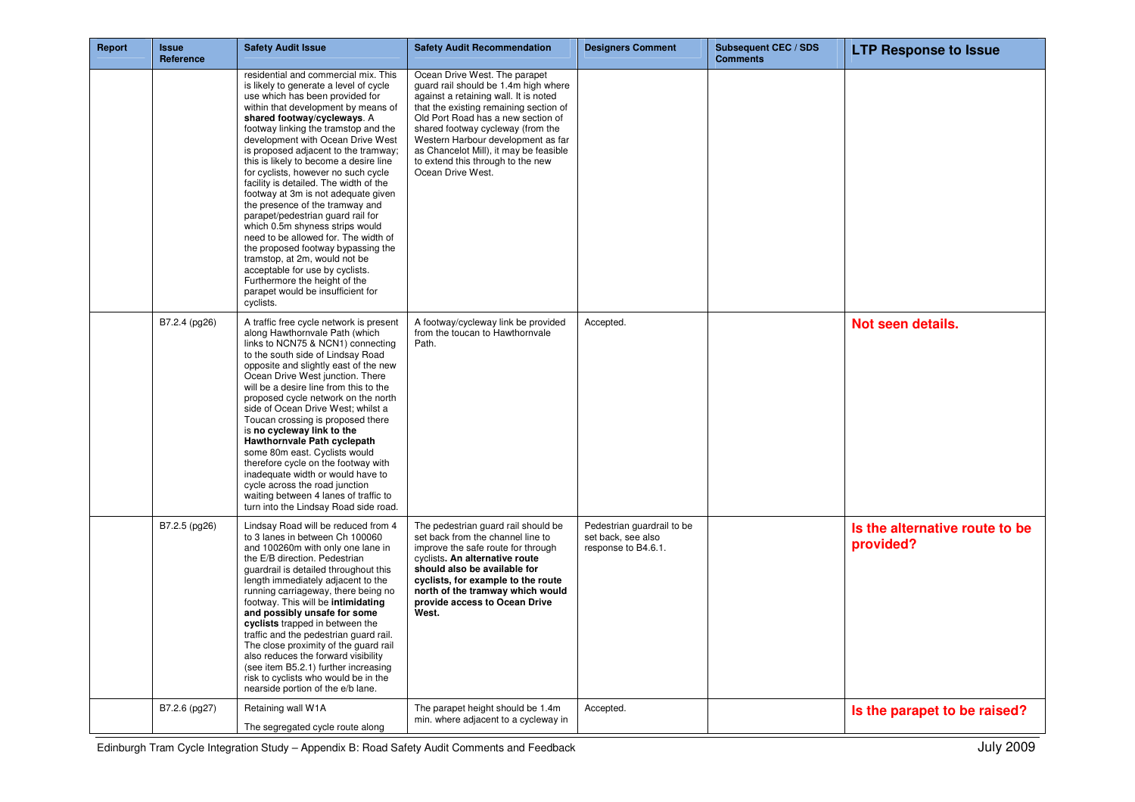| Report | <b>Issue</b><br>Reference | <b>Safety Audit Issue</b>                                                                                                                                                                                                                                                                                                                                                                                                                                                                                                                                                                                                                                                                                                                                                                                                      | <b>Safety Audit Recommendation</b>                                                                                                                                                                                                                                                                                                                                            | <b>Designers Comment</b>                                                | <b>Subsequent CEC / SDS</b><br><b>Comments</b> | <b>LTP Response to Issue</b>                |
|--------|---------------------------|--------------------------------------------------------------------------------------------------------------------------------------------------------------------------------------------------------------------------------------------------------------------------------------------------------------------------------------------------------------------------------------------------------------------------------------------------------------------------------------------------------------------------------------------------------------------------------------------------------------------------------------------------------------------------------------------------------------------------------------------------------------------------------------------------------------------------------|-------------------------------------------------------------------------------------------------------------------------------------------------------------------------------------------------------------------------------------------------------------------------------------------------------------------------------------------------------------------------------|-------------------------------------------------------------------------|------------------------------------------------|---------------------------------------------|
|        |                           | residential and commercial mix. This<br>is likely to generate a level of cycle<br>use which has been provided for<br>within that development by means of<br>shared footway/cycleways. A<br>footway linking the tramstop and the<br>development with Ocean Drive West<br>is proposed adjacent to the tramway;<br>this is likely to become a desire line<br>for cyclists, however no such cycle<br>facility is detailed. The width of the<br>footway at 3m is not adequate given<br>the presence of the tramway and<br>parapet/pedestrian guard rail for<br>which 0.5m shyness strips would<br>need to be allowed for. The width of<br>the proposed footway bypassing the<br>tramstop, at 2m, would not be<br>acceptable for use by cyclists.<br>Furthermore the height of the<br>parapet would be insufficient for<br>cyclists. | Ocean Drive West. The parapet<br>guard rail should be 1.4m high where<br>against a retaining wall. It is noted<br>that the existing remaining section of<br>Old Port Road has a new section of<br>shared footway cycleway (from the<br>Western Harbour development as far<br>as Chancelot Mill), it may be feasible<br>to extend this through to the new<br>Ocean Drive West. |                                                                         |                                                |                                             |
|        | B7.2.4 (pg26)             | A traffic free cycle network is present<br>along Hawthornvale Path (which<br>links to NCN75 & NCN1) connecting<br>to the south side of Lindsay Road<br>opposite and slightly east of the new<br>Ocean Drive West junction. There<br>will be a desire line from this to the<br>proposed cycle network on the north<br>side of Ocean Drive West; whilst a<br>Toucan crossing is proposed there<br>is no cycleway link to the<br>Hawthornvale Path cyclepath<br>some 80m east. Cyclists would<br>therefore cycle on the footway with<br>inadequate width or would have to<br>cycle across the road junction<br>waiting between 4 lanes of traffic to<br>turn into the Lindsay Road side road.                                                                                                                                     | A footway/cycleway link be provided<br>from the toucan to Hawthornvale<br>Path.                                                                                                                                                                                                                                                                                               | Accepted.                                                               |                                                | Not seen details.                           |
|        | B7.2.5 (pg26)             | Lindsay Road will be reduced from 4<br>to 3 lanes in between Ch 100060<br>and 100260m with only one lane in<br>the E/B direction. Pedestrian<br>guardrail is detailed throughout this<br>length immediately adjacent to the<br>running carriageway, there being no<br>footway. This will be intimidating<br>and possibly unsafe for some<br>cyclists trapped in between the<br>traffic and the pedestrian guard rail.<br>The close proximity of the guard rail<br>also reduces the forward visibility<br>(see item B5.2.1) further increasing<br>risk to cyclists who would be in the<br>nearside portion of the e/b lane.                                                                                                                                                                                                     | The pedestrian quard rail should be<br>set back from the channel line to<br>improve the safe route for through<br>cyclists. An alternative route<br>should also be available for<br>cyclists, for example to the route<br>north of the tramway which would<br>provide access to Ocean Drive<br>West.                                                                          | Pedestrian quardrail to be<br>set back, see also<br>response to B4.6.1. |                                                | Is the alternative route to be<br>provided? |
|        | B7.2.6 (pg27)             | Retaining wall W1A<br>The segregated cycle route along                                                                                                                                                                                                                                                                                                                                                                                                                                                                                                                                                                                                                                                                                                                                                                         | The parapet height should be 1.4m<br>min. where adjacent to a cycleway in                                                                                                                                                                                                                                                                                                     | Accepted.                                                               |                                                | Is the parapet to be raised?                |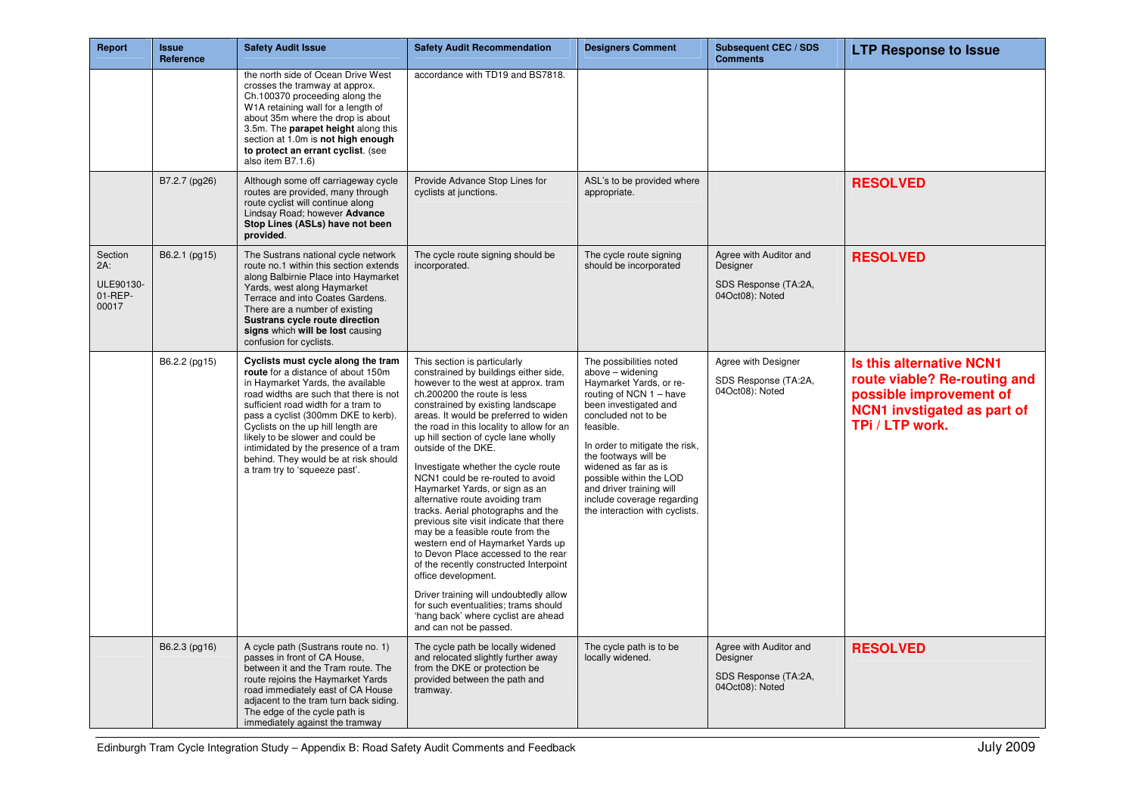| Report                                             | <b>Issue</b><br>Reference | <b>Safety Audit Issue</b>                                                                                                                                                                                                                                                                                                                                                                                                         | <b>Safety Audit Recommendation</b>                                                                                                                                                                                                                                                                                                                                                                                                                                                                                                                                                                                                                                                                                                                                                                                                                                                                         | <b>Designers Comment</b>                                                                                                                                                                                                                                                                                                                                                | <b>Subsequent CEC / SDS</b><br><b>Comments</b>                                | <b>LTP Response to Issue</b>                                                                                                                 |
|----------------------------------------------------|---------------------------|-----------------------------------------------------------------------------------------------------------------------------------------------------------------------------------------------------------------------------------------------------------------------------------------------------------------------------------------------------------------------------------------------------------------------------------|------------------------------------------------------------------------------------------------------------------------------------------------------------------------------------------------------------------------------------------------------------------------------------------------------------------------------------------------------------------------------------------------------------------------------------------------------------------------------------------------------------------------------------------------------------------------------------------------------------------------------------------------------------------------------------------------------------------------------------------------------------------------------------------------------------------------------------------------------------------------------------------------------------|-------------------------------------------------------------------------------------------------------------------------------------------------------------------------------------------------------------------------------------------------------------------------------------------------------------------------------------------------------------------------|-------------------------------------------------------------------------------|----------------------------------------------------------------------------------------------------------------------------------------------|
|                                                    |                           | the north side of Ocean Drive West<br>crosses the tramway at approx.<br>Ch.100370 proceeding along the<br>W1A retaining wall for a length of<br>about 35m where the drop is about<br>3.5m. The parapet height along this<br>section at 1.0m is not high enough<br>to protect an errant cyclist. (see<br>also item B7.1.6)                                                                                                         | accordance with TD19 and BS7818.                                                                                                                                                                                                                                                                                                                                                                                                                                                                                                                                                                                                                                                                                                                                                                                                                                                                           |                                                                                                                                                                                                                                                                                                                                                                         |                                                                               |                                                                                                                                              |
|                                                    | B7.2.7 (pg26)             | Although some off carriageway cycle<br>routes are provided, many through<br>route cyclist will continue along<br>Lindsay Road; however Advance<br>Stop Lines (ASLs) have not been<br>provided.                                                                                                                                                                                                                                    | Provide Advance Stop Lines for<br>cyclists at junctions.                                                                                                                                                                                                                                                                                                                                                                                                                                                                                                                                                                                                                                                                                                                                                                                                                                                   | ASL's to be provided where<br>appropriate.                                                                                                                                                                                                                                                                                                                              |                                                                               | <b>RESOLVED</b>                                                                                                                              |
| Section<br>$2A$ :<br>ULE90130-<br>01-REP-<br>00017 | B6.2.1 (pg15)             | The Sustrans national cycle network<br>route no.1 within this section extends<br>along Balbirnie Place into Haymarket<br>Yards, west along Haymarket<br>Terrace and into Coates Gardens.<br>There are a number of existing<br>Sustrans cycle route direction<br>signs which will be lost causing<br>confusion for cyclists.                                                                                                       | The cycle route signing should be<br>incorporated.                                                                                                                                                                                                                                                                                                                                                                                                                                                                                                                                                                                                                                                                                                                                                                                                                                                         | The cycle route signing<br>should be incorporated                                                                                                                                                                                                                                                                                                                       | Agree with Auditor and<br>Designer<br>SDS Response (TA:2A,<br>04Oct08): Noted | <b>RESOLVED</b>                                                                                                                              |
|                                                    | B6.2.2 (pg15)             | Cyclists must cycle along the tram<br>route for a distance of about 150m<br>in Haymarket Yards, the available<br>road widths are such that there is not<br>sufficient road width for a tram to<br>pass a cyclist (300mm DKE to kerb).<br>Cyclists on the up hill length are<br>likely to be slower and could be<br>intimidated by the presence of a tram<br>behind. They would be at risk should<br>a tram try to 'squeeze past'. | This section is particularly<br>constrained by buildings either side,<br>however to the west at approx. tram<br>ch.200200 the route is less<br>constrained by existing landscape<br>areas. It would be preferred to widen<br>the road in this locality to allow for an<br>up hill section of cycle lane wholly<br>outside of the DKE.<br>Investigate whether the cycle route<br>NCN1 could be re-routed to avoid<br>Haymarket Yards, or sign as an<br>alternative route avoiding tram<br>tracks. Aerial photographs and the<br>previous site visit indicate that there<br>may be a feasible route from the<br>western end of Haymarket Yards up<br>to Devon Place accessed to the rear<br>of the recently constructed Interpoint<br>office development.<br>Driver training will undoubtedly allow<br>for such eventualities; trams should<br>'hang back' where cyclist are ahead<br>and can not be passed. | The possibilities noted<br>above - widening<br>Haymarket Yards, or re-<br>routing of NCN 1 - have<br>been investigated and<br>concluded not to be<br>feasible.<br>In order to mitigate the risk,<br>the footways will be<br>widened as far as is<br>possible within the LOD<br>and driver training will<br>include coverage regarding<br>the interaction with cyclists. | Agree with Designer<br>SDS Response (TA:2A,<br>04Oct08): Noted                | <b>Is this alternative NCN1</b><br>route viable? Re-routing and<br>possible improvement of<br>NCN1 invstigated as part of<br>TPi / LTP work. |
|                                                    | B6.2.3 (pg16)             | A cycle path (Sustrans route no. 1)<br>passes in front of CA House,<br>between it and the Tram route. The<br>route rejoins the Haymarket Yards<br>road immediately east of CA House<br>adiacent to the tram turn back siding.<br>The edge of the cycle path is<br>immediately against the tramway                                                                                                                                 | The cycle path be locally widened<br>and relocated slightly further away<br>from the DKE or protection be<br>provided between the path and<br>tramway.                                                                                                                                                                                                                                                                                                                                                                                                                                                                                                                                                                                                                                                                                                                                                     | The cycle path is to be<br>locally widened.                                                                                                                                                                                                                                                                                                                             | Agree with Auditor and<br>Designer<br>SDS Response (TA:2A,<br>04Oct08): Noted | <b>RESOLVED</b>                                                                                                                              |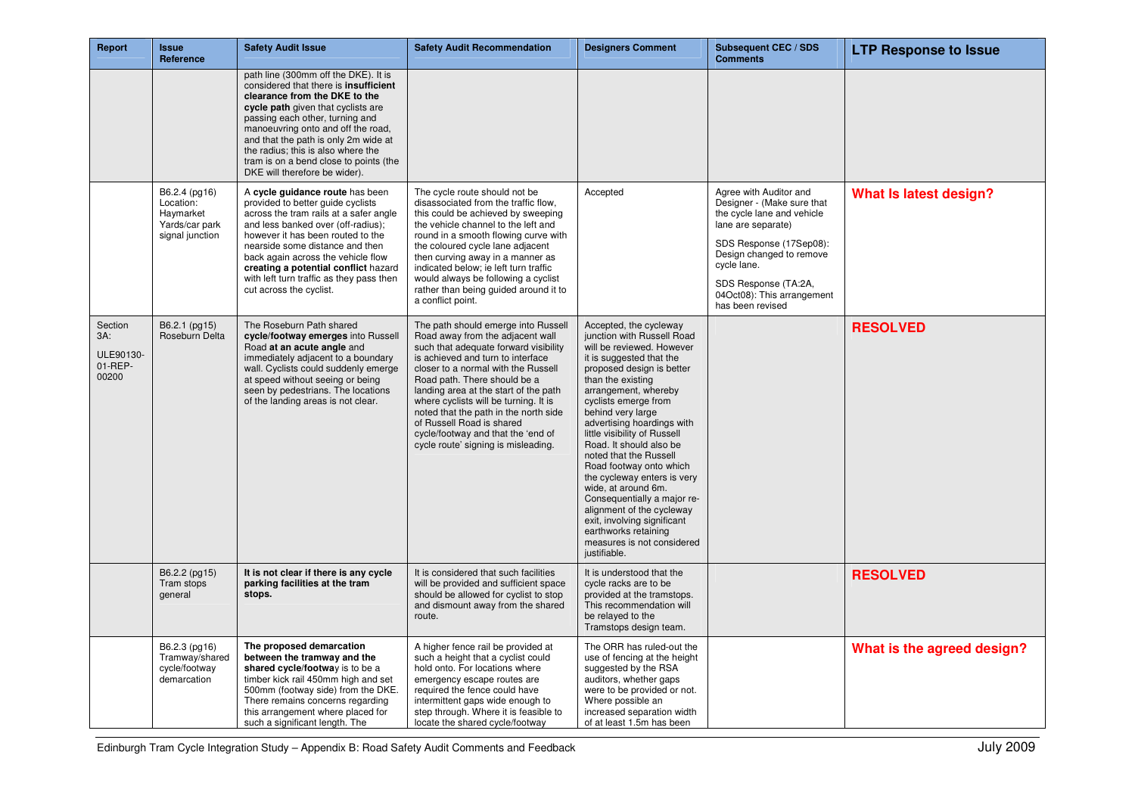| Report                                             | <b>Issue</b><br>Reference                                                    | <b>Safety Audit Issue</b>                                                                                                                                                                                                                                                                                                                                                              | <b>Safety Audit Recommendation</b>                                                                                                                                                                                                                                                                                                                                                                                                                                | <b>Designers Comment</b>                                                                                                                                                                                                                                                                                                                                                                                                                                                                                                                                                                                  | <b>Subsequent CEC / SDS</b><br><b>Comments</b>                                                                                                                                                                                                           | <b>LTP Response to Issue</b>  |
|----------------------------------------------------|------------------------------------------------------------------------------|----------------------------------------------------------------------------------------------------------------------------------------------------------------------------------------------------------------------------------------------------------------------------------------------------------------------------------------------------------------------------------------|-------------------------------------------------------------------------------------------------------------------------------------------------------------------------------------------------------------------------------------------------------------------------------------------------------------------------------------------------------------------------------------------------------------------------------------------------------------------|-----------------------------------------------------------------------------------------------------------------------------------------------------------------------------------------------------------------------------------------------------------------------------------------------------------------------------------------------------------------------------------------------------------------------------------------------------------------------------------------------------------------------------------------------------------------------------------------------------------|----------------------------------------------------------------------------------------------------------------------------------------------------------------------------------------------------------------------------------------------------------|-------------------------------|
|                                                    |                                                                              | path line (300mm off the DKE). It is<br>considered that there is insufficient<br>clearance from the DKE to the<br>cycle path given that cyclists are<br>passing each other, turning and<br>manoeuvring onto and off the road,<br>and that the path is only 2m wide at<br>the radius; this is also where the<br>tram is on a bend close to points (the<br>DKE will therefore be wider). |                                                                                                                                                                                                                                                                                                                                                                                                                                                                   |                                                                                                                                                                                                                                                                                                                                                                                                                                                                                                                                                                                                           |                                                                                                                                                                                                                                                          |                               |
|                                                    | B6.2.4 (pg16)<br>Location:<br>Haymarket<br>Yards/car park<br>signal junction | A cycle guidance route has been<br>provided to better guide cyclists<br>across the tram rails at a safer angle<br>and less banked over (off-radius);<br>however it has been routed to the<br>nearside some distance and then<br>back again across the vehicle flow<br>creating a potential conflict hazard<br>with left turn traffic as they pass then<br>cut across the cyclist.      | The cycle route should not be<br>disassociated from the traffic flow,<br>this could be achieved by sweeping<br>the vehicle channel to the left and<br>round in a smooth flowing curve with<br>the coloured cycle lane adjacent<br>then curving away in a manner as<br>indicated below; ie left turn traffic<br>would always be following a cyclist<br>rather than being guided around it to<br>a conflict point.                                                  | Accepted                                                                                                                                                                                                                                                                                                                                                                                                                                                                                                                                                                                                  | Agree with Auditor and<br>Designer - (Make sure that<br>the cycle lane and vehicle<br>lane are separate)<br>SDS Response (17Sep08):<br>Design changed to remove<br>cycle lane.<br>SDS Response (TA:2A,<br>04Oct08): This arrangement<br>has been revised | <b>What Is latest design?</b> |
| Section<br>$3A$ :<br>ULE90130-<br>01-REP-<br>00200 | B6.2.1 (pg15)<br>Roseburn Delta                                              | The Roseburn Path shared<br>cycle/footway emerges into Russell<br>Road at an acute angle and<br>immediately adjacent to a boundary<br>wall. Cyclists could suddenly emerge<br>at speed without seeing or being<br>seen by pedestrians. The locations<br>of the landing areas is not clear.                                                                                             | The path should emerge into Russell<br>Road away from the adjacent wall<br>such that adequate forward visibility<br>is achieved and turn to interface<br>closer to a normal with the Russell<br>Road path. There should be a<br>landing area at the start of the path<br>where cyclists will be turning. It is<br>noted that the path in the north side<br>of Russell Road is shared<br>cycle/footway and that the 'end of<br>cycle route' signing is misleading. | Accepted, the cycleway<br>junction with Russell Road<br>will be reviewed. However<br>it is suggested that the<br>proposed design is better<br>than the existing<br>arrangement, whereby<br>cyclists emerge from<br>behind very large<br>advertising hoardings with<br>little visibility of Russell<br>Road. It should also be<br>noted that the Russell<br>Road footway onto which<br>the cycleway enters is very<br>wide, at around 6m.<br>Consequentially a major re-<br>alignment of the cycleway<br>exit, involving significant<br>earthworks retaining<br>measures is not considered<br>justifiable. |                                                                                                                                                                                                                                                          | <b>RESOLVED</b>               |
|                                                    | B6.2.2 (pg15)<br>Tram stops<br>general                                       | It is not clear if there is any cycle<br>parking facilities at the tram<br>stops.                                                                                                                                                                                                                                                                                                      | It is considered that such facilities<br>will be provided and sufficient space<br>should be allowed for cyclist to stop<br>and dismount away from the shared<br>route.                                                                                                                                                                                                                                                                                            | It is understood that the<br>cycle racks are to be<br>provided at the tramstops.<br>This recommendation will<br>be relayed to the<br>Tramstops design team.                                                                                                                                                                                                                                                                                                                                                                                                                                               |                                                                                                                                                                                                                                                          | <b>RESOLVED</b>               |
|                                                    | B6.2.3 (pg16)<br>Tramway/shared<br>cycle/footway<br>demarcation              | The proposed demarcation<br>between the tramway and the<br>shared cycle/footway is to be a<br>timber kick rail 450mm high and set<br>500mm (footway side) from the DKE.<br>There remains concerns regarding<br>this arrangement where placed for<br>such a significant length. The                                                                                                     | A higher fence rail be provided at<br>such a height that a cyclist could<br>hold onto. For locations where<br>emergency escape routes are<br>required the fence could have<br>intermittent gaps wide enough to<br>step through. Where it is feasible to<br>locate the shared cycle/footway                                                                                                                                                                        | The ORR has ruled-out the<br>use of fencing at the height<br>suggested by the RSA<br>auditors, whether gaps<br>were to be provided or not.<br>Where possible an<br>increased separation width<br>of at least 1.5m has been                                                                                                                                                                                                                                                                                                                                                                                |                                                                                                                                                                                                                                                          | What is the agreed design?    |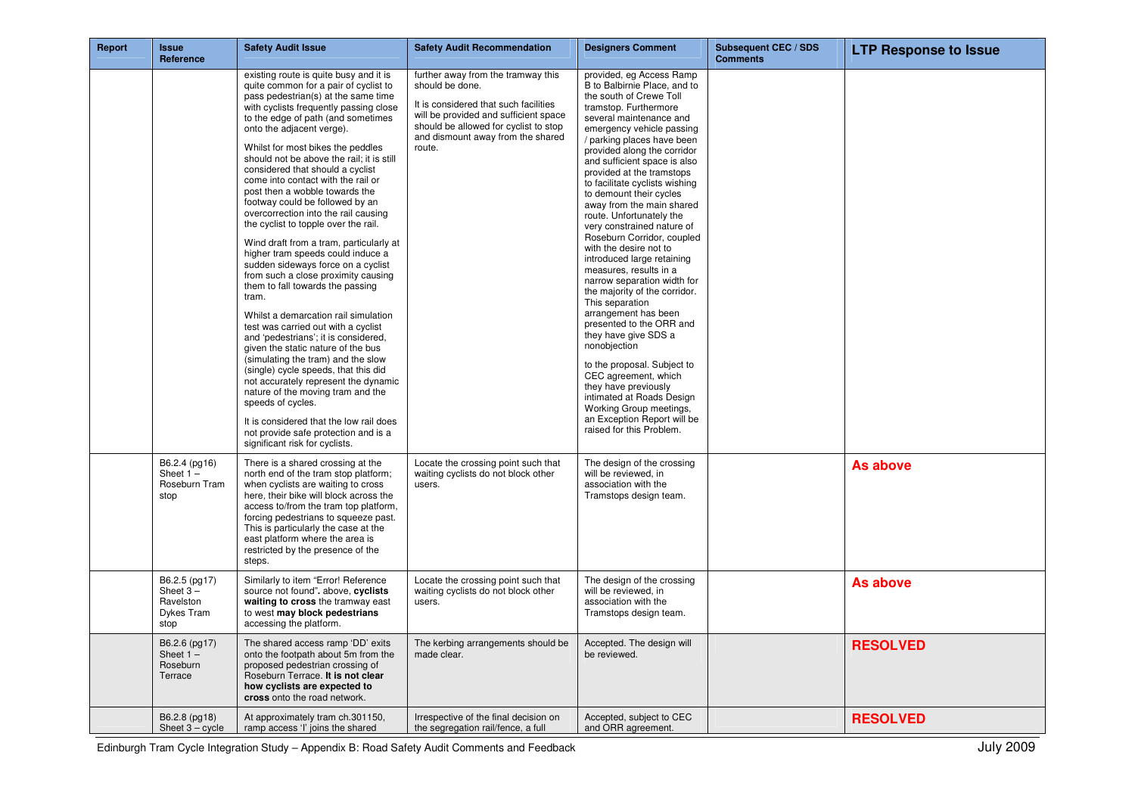| Report | <b>Issue</b><br>Reference                                       | <b>Safety Audit Issue</b>                                                                                                                                                                                                                                                                                                                                                                                                                                                                                                                                                                                                                                                                                                                                                                                                                                                                                                                                                                                                                                                                                                                                                                                                        | <b>Safety Audit Recommendation</b>                                                                                                                                                                                              | <b>Designers Comment</b>                                                                                                                                                                                                                                                                                                                                                                                                                                                                                                                                                                                                                                                                                                                                                                                                                                                                                                                            | <b>Subsequent CEC / SDS</b><br><b>Comments</b> | <b>LTP Response to Issue</b> |
|--------|-----------------------------------------------------------------|----------------------------------------------------------------------------------------------------------------------------------------------------------------------------------------------------------------------------------------------------------------------------------------------------------------------------------------------------------------------------------------------------------------------------------------------------------------------------------------------------------------------------------------------------------------------------------------------------------------------------------------------------------------------------------------------------------------------------------------------------------------------------------------------------------------------------------------------------------------------------------------------------------------------------------------------------------------------------------------------------------------------------------------------------------------------------------------------------------------------------------------------------------------------------------------------------------------------------------|---------------------------------------------------------------------------------------------------------------------------------------------------------------------------------------------------------------------------------|-----------------------------------------------------------------------------------------------------------------------------------------------------------------------------------------------------------------------------------------------------------------------------------------------------------------------------------------------------------------------------------------------------------------------------------------------------------------------------------------------------------------------------------------------------------------------------------------------------------------------------------------------------------------------------------------------------------------------------------------------------------------------------------------------------------------------------------------------------------------------------------------------------------------------------------------------------|------------------------------------------------|------------------------------|
|        |                                                                 | existing route is quite busy and it is<br>quite common for a pair of cyclist to<br>pass pedestrian(s) at the same time<br>with cyclists frequently passing close<br>to the edge of path (and sometimes<br>onto the adjacent verge).<br>Whilst for most bikes the peddles<br>should not be above the rail; it is still<br>considered that should a cyclist<br>come into contact with the rail or<br>post then a wobble towards the<br>footway could be followed by an<br>overcorrection into the rail causing<br>the cyclist to topple over the rail.<br>Wind draft from a tram, particularly at<br>higher tram speeds could induce a<br>sudden sideways force on a cyclist<br>from such a close proximity causing<br>them to fall towards the passing<br>tram.<br>Whilst a demarcation rail simulation<br>test was carried out with a cyclist<br>and 'pedestrians'; it is considered,<br>given the static nature of the bus<br>(simulating the tram) and the slow<br>(single) cycle speeds, that this did<br>not accurately represent the dynamic<br>nature of the moving tram and the<br>speeds of cycles.<br>It is considered that the low rail does<br>not provide safe protection and is a<br>significant risk for cyclists. | further away from the tramway this<br>should be done.<br>It is considered that such facilities<br>will be provided and sufficient space<br>should be allowed for cyclist to stop<br>and dismount away from the shared<br>route. | provided, eg Access Ramp<br>B to Balbirnie Place, and to<br>the south of Crewe Toll<br>tramstop. Furthermore<br>several maintenance and<br>emergency vehicle passing<br>/ parking places have been<br>provided along the corridor<br>and sufficient space is also<br>provided at the tramstops<br>to facilitate cyclists wishing<br>to demount their cycles<br>away from the main shared<br>route. Unfortunately the<br>very constrained nature of<br>Roseburn Corridor, coupled<br>with the desire not to<br>introduced large retaining<br>measures, results in a<br>narrow separation width for<br>the majority of the corridor.<br>This separation<br>arrangement has been<br>presented to the ORR and<br>they have give SDS a<br>nonobjection<br>to the proposal. Subject to<br>CEC agreement, which<br>they have previously<br>intimated at Roads Design<br>Working Group meetings,<br>an Exception Report will be<br>raised for this Problem. |                                                |                              |
|        | B6.2.4 (pg16)<br>Sheet $1 -$<br>Roseburn Tram<br>stop           | There is a shared crossing at the<br>north end of the tram stop platform;<br>when cyclists are waiting to cross<br>here, their bike will block across the<br>access to/from the tram top platform,<br>forcing pedestrians to squeeze past.<br>This is particularly the case at the<br>east platform where the area is<br>restricted by the presence of the<br>steps.                                                                                                                                                                                                                                                                                                                                                                                                                                                                                                                                                                                                                                                                                                                                                                                                                                                             | Locate the crossing point such that<br>waiting cyclists do not block other<br>users.                                                                                                                                            | The design of the crossing<br>will be reviewed, in<br>association with the<br>Tramstops design team.                                                                                                                                                                                                                                                                                                                                                                                                                                                                                                                                                                                                                                                                                                                                                                                                                                                |                                                | As above                     |
|        | B6.2.5 (pg17)<br>Sheet $3 -$<br>Ravelston<br>Dykes Tram<br>stop | Similarly to item "Error! Reference<br>source not found". above, cyclists<br>waiting to cross the tramway east<br>to west may block pedestrians<br>accessing the platform.                                                                                                                                                                                                                                                                                                                                                                                                                                                                                                                                                                                                                                                                                                                                                                                                                                                                                                                                                                                                                                                       | Locate the crossing point such that<br>waiting cyclists do not block other<br>users.                                                                                                                                            | The design of the crossing<br>will be reviewed, in<br>association with the<br>Tramstops design team.                                                                                                                                                                                                                                                                                                                                                                                                                                                                                                                                                                                                                                                                                                                                                                                                                                                |                                                | As above                     |
|        | B6.2.6 (pg17)<br>Sheet $1 -$<br>Roseburn<br>Terrace             | The shared access ramp 'DD' exits<br>onto the footpath about 5m from the<br>proposed pedestrian crossing of<br>Roseburn Terrace. It is not clear<br>how cyclists are expected to<br>cross onto the road network.                                                                                                                                                                                                                                                                                                                                                                                                                                                                                                                                                                                                                                                                                                                                                                                                                                                                                                                                                                                                                 | The kerbing arrangements should be<br>made clear.                                                                                                                                                                               | Accepted. The design will<br>be reviewed.                                                                                                                                                                                                                                                                                                                                                                                                                                                                                                                                                                                                                                                                                                                                                                                                                                                                                                           |                                                | <b>RESOLVED</b>              |
|        | B6.2.8 (pg18)<br>Sheet $3 - cycle$                              | At approximately tram ch.301150,<br>ramp access 'I' joins the shared                                                                                                                                                                                                                                                                                                                                                                                                                                                                                                                                                                                                                                                                                                                                                                                                                                                                                                                                                                                                                                                                                                                                                             | Irrespective of the final decision on<br>the segregation rail/fence, a full                                                                                                                                                     | Accepted, subject to CEC<br>and ORR agreement.                                                                                                                                                                                                                                                                                                                                                                                                                                                                                                                                                                                                                                                                                                                                                                                                                                                                                                      |                                                | <b>RESOLVED</b>              |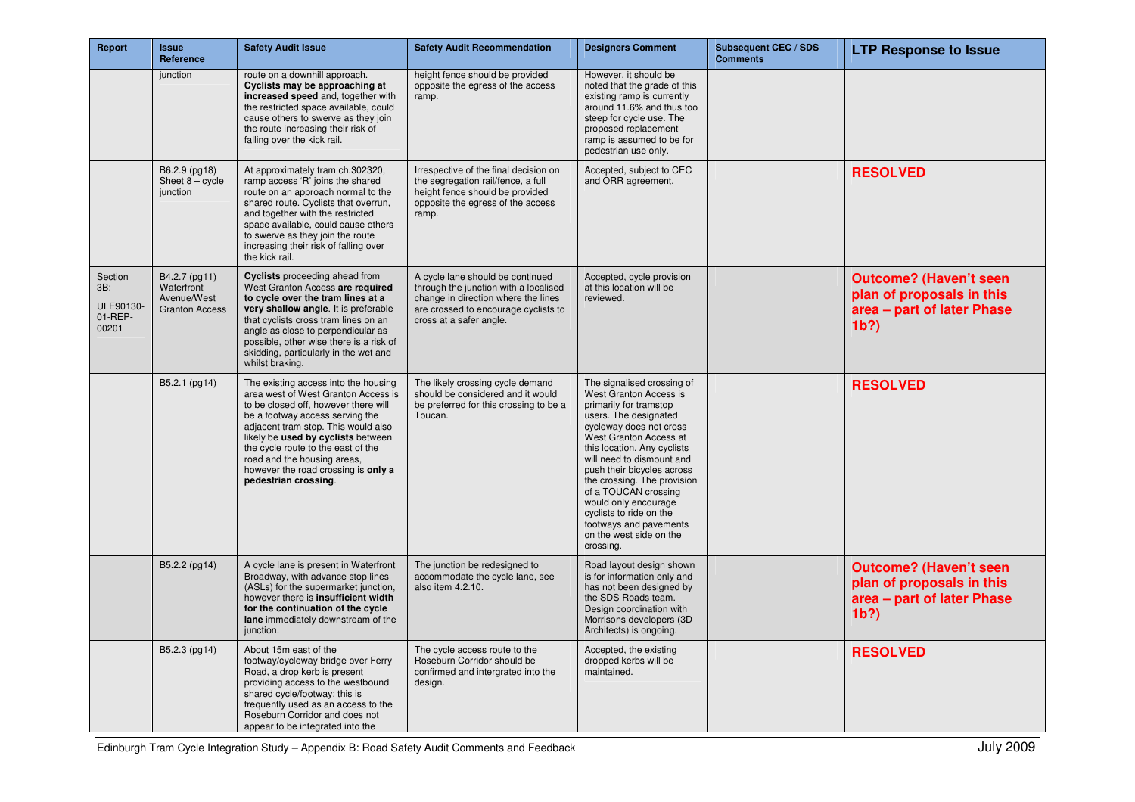| Report                                          | <b>Issue</b><br>Reference                                           | <b>Safety Audit Issue</b>                                                                                                                                                                                                                                                                                                                                               | <b>Safety Audit Recommendation</b>                                                                                                                                                  | <b>Designers Comment</b>                                                                                                                                                                                                                                                                                                                                                                                                           | <b>Subsequent CEC / SDS</b><br><b>Comments</b> | <b>LTP Response to Issue</b>                                                                        |
|-------------------------------------------------|---------------------------------------------------------------------|-------------------------------------------------------------------------------------------------------------------------------------------------------------------------------------------------------------------------------------------------------------------------------------------------------------------------------------------------------------------------|-------------------------------------------------------------------------------------------------------------------------------------------------------------------------------------|------------------------------------------------------------------------------------------------------------------------------------------------------------------------------------------------------------------------------------------------------------------------------------------------------------------------------------------------------------------------------------------------------------------------------------|------------------------------------------------|-----------------------------------------------------------------------------------------------------|
|                                                 | junction                                                            | route on a downhill approach.<br>Cyclists may be approaching at<br>increased speed and, together with<br>the restricted space available, could<br>cause others to swerve as they join<br>the route increasing their risk of<br>falling over the kick rail.                                                                                                              | height fence should be provided<br>opposite the egress of the access<br>ramp.                                                                                                       | However, it should be<br>noted that the grade of this<br>existing ramp is currently<br>around 11.6% and thus too<br>steep for cycle use. The<br>proposed replacement<br>ramp is assumed to be for<br>pedestrian use only.                                                                                                                                                                                                          |                                                |                                                                                                     |
|                                                 | B6.2.9 (pg18)<br>Sheet $8 - cycle$<br>junction                      | At approximately tram ch.302320,<br>ramp access 'R' joins the shared<br>route on an approach normal to the<br>shared route. Cyclists that overrun,<br>and together with the restricted<br>space available, could cause others<br>to swerve as they join the route<br>increasing their risk of falling over<br>the kick rail.                                            | Irrespective of the final decision on<br>the segregation rail/fence, a full<br>height fence should be provided<br>opposite the egress of the access<br>ramp.                        | Accepted, subject to CEC<br>and ORR agreement.                                                                                                                                                                                                                                                                                                                                                                                     |                                                | <b>RESOLVED</b>                                                                                     |
| Section<br>3B:<br>ULE90130-<br>01-REP-<br>00201 | B4.2.7 (pg11)<br>Waterfront<br>Avenue/West<br><b>Granton Access</b> | Cyclists proceeding ahead from<br>West Granton Access are required<br>to cycle over the tram lines at a<br>very shallow angle. It is preferable<br>that cyclists cross tram lines on an<br>angle as close to perpendicular as<br>possible, other wise there is a risk of<br>skidding, particularly in the wet and<br>whilst braking.                                    | A cycle lane should be continued<br>through the junction with a localised<br>change in direction where the lines<br>are crossed to encourage cyclists to<br>cross at a safer angle. | Accepted, cycle provision<br>at this location will be<br>reviewed.                                                                                                                                                                                                                                                                                                                                                                 |                                                | <b>Outcome? (Haven't seen</b><br>plan of proposals in this<br>area - part of later Phase<br>$1b$ ?  |
|                                                 | B5.2.1 (pg14)                                                       | The existing access into the housing<br>area west of West Granton Access is<br>to be closed off, however there will<br>be a footway access serving the<br>adjacent tram stop. This would also<br>likely be used by cyclists between<br>the cycle route to the east of the<br>road and the housing areas,<br>however the road crossing is only a<br>pedestrian crossing. | The likely crossing cycle demand<br>should be considered and it would<br>be preferred for this crossing to be a<br>Toucan.                                                          | The signalised crossing of<br>West Granton Access is<br>primarily for tramstop<br>users. The designated<br>cycleway does not cross<br>West Granton Access at<br>this location. Any cyclists<br>will need to dismount and<br>push their bicycles across<br>the crossing. The provision<br>of a TOUCAN crossing<br>would only encourage<br>cyclists to ride on the<br>footways and pavements<br>on the west side on the<br>crossing. |                                                | <b>RESOLVED</b>                                                                                     |
|                                                 | B5.2.2 (pg14)                                                       | A cycle lane is present in Waterfront<br>Broadway, with advance stop lines<br>(ASLs) for the supermarket junction,<br>however there is insufficient width<br>for the continuation of the cycle<br>lane immediately downstream of the<br>junction.                                                                                                                       | The junction be redesigned to<br>accommodate the cycle lane, see<br>also item 4.2.10.                                                                                               | Road layout design shown<br>is for information only and<br>has not been designed by<br>the SDS Roads team.<br>Design coordination with<br>Morrisons developers (3D<br>Architects) is ongoing.                                                                                                                                                                                                                                      |                                                | <b>Outcome? (Haven't seen</b><br>plan of proposals in this<br>area - part of later Phase<br>$1b$ ?) |
|                                                 | B5.2.3 (pg14)                                                       | About 15m east of the<br>footway/cycleway bridge over Ferry<br>Road, a drop kerb is present<br>providing access to the westbound<br>shared cycle/footway; this is<br>frequently used as an access to the<br>Roseburn Corridor and does not<br>appear to be integrated into the                                                                                          | The cycle access route to the<br>Roseburn Corridor should be<br>confirmed and intergrated into the<br>design.                                                                       | Accepted, the existing<br>dropped kerbs will be<br>maintained.                                                                                                                                                                                                                                                                                                                                                                     |                                                | <b>RESOLVED</b>                                                                                     |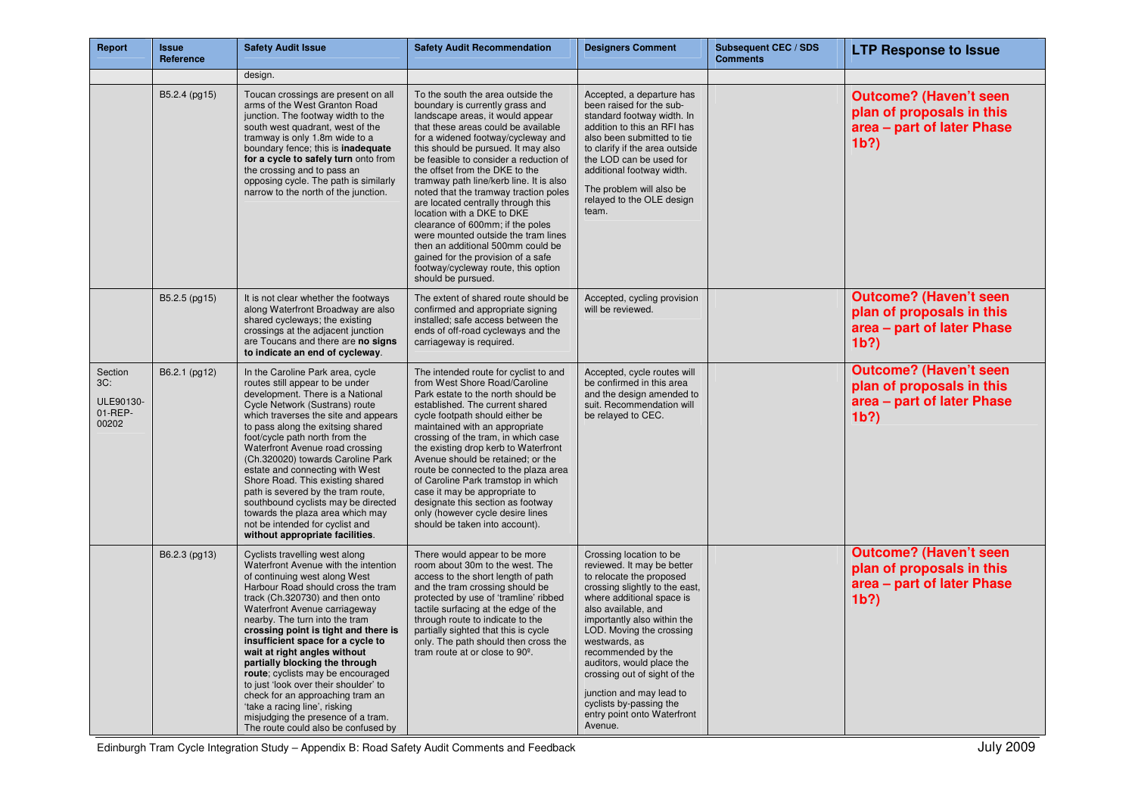| Report                                             | <b>Issue</b><br>Reference | <b>Safety Audit Issue</b>                                                                                                                                                                                                                                                                                                                                                                                                                                                                                                                                                                                                          | <b>Safety Audit Recommendation</b>                                                                                                                                                                                                                                                                                                                                                                                                                                                                                                                                                                                                                                                  | <b>Designers Comment</b>                                                                                                                                                                                                                                                                                                                                                                                                                | Subsequent CEC / SDS<br><b>Comments</b> | <b>LTP Response to Issue</b>                                                                        |
|----------------------------------------------------|---------------------------|------------------------------------------------------------------------------------------------------------------------------------------------------------------------------------------------------------------------------------------------------------------------------------------------------------------------------------------------------------------------------------------------------------------------------------------------------------------------------------------------------------------------------------------------------------------------------------------------------------------------------------|-------------------------------------------------------------------------------------------------------------------------------------------------------------------------------------------------------------------------------------------------------------------------------------------------------------------------------------------------------------------------------------------------------------------------------------------------------------------------------------------------------------------------------------------------------------------------------------------------------------------------------------------------------------------------------------|-----------------------------------------------------------------------------------------------------------------------------------------------------------------------------------------------------------------------------------------------------------------------------------------------------------------------------------------------------------------------------------------------------------------------------------------|-----------------------------------------|-----------------------------------------------------------------------------------------------------|
|                                                    |                           | design.                                                                                                                                                                                                                                                                                                                                                                                                                                                                                                                                                                                                                            |                                                                                                                                                                                                                                                                                                                                                                                                                                                                                                                                                                                                                                                                                     |                                                                                                                                                                                                                                                                                                                                                                                                                                         |                                         |                                                                                                     |
|                                                    | B5.2.4 (pg15)             | Toucan crossings are present on all<br>arms of the West Granton Road<br>junction. The footway width to the<br>south west quadrant, west of the<br>tramway is only 1.8m wide to a<br>boundary fence; this is inadequate<br>for a cycle to safely turn onto from<br>the crossing and to pass an<br>opposing cycle. The path is similarly<br>narrow to the north of the junction.                                                                                                                                                                                                                                                     | To the south the area outside the<br>boundary is currently grass and<br>landscape areas, it would appear<br>that these areas could be available<br>for a widened footway/cycleway and<br>this should be pursued. It may also<br>be feasible to consider a reduction of<br>the offset from the DKE to the<br>tramway path line/kerb line. It is also<br>noted that the tramway traction poles<br>are located centrally through this<br>location with a DKE to DKE<br>clearance of 600mm; if the poles<br>were mounted outside the tram lines<br>then an additional 500mm could be<br>gained for the provision of a safe<br>footway/cycleway route, this option<br>should be pursued. | Accepted, a departure has<br>been raised for the sub-<br>standard footway width. In<br>addition to this an RFI has<br>also been submitted to tie<br>to clarify if the area outside<br>the LOD can be used for<br>additional footway width.<br>The problem will also be<br>relayed to the OLE design<br>team.                                                                                                                            |                                         | <b>Outcome? (Haven't seen</b><br>plan of proposals in this<br>area - part of later Phase<br>$1b$ ?) |
|                                                    | B5.2.5 (pg15)             | It is not clear whether the footways<br>along Waterfront Broadway are also<br>shared cycleways; the existing<br>crossings at the adjacent junction<br>are Toucans and there are no signs<br>to indicate an end of cycleway.                                                                                                                                                                                                                                                                                                                                                                                                        | The extent of shared route should be<br>confirmed and appropriate signing<br>installed; safe access between the<br>ends of off-road cycleways and the<br>carriageway is required.                                                                                                                                                                                                                                                                                                                                                                                                                                                                                                   | Accepted, cycling provision<br>will be reviewed.                                                                                                                                                                                                                                                                                                                                                                                        |                                         | <b>Outcome? (Haven't seen</b><br>plan of proposals in this<br>area - part of later Phase<br>$1b$ ?) |
| Section<br>3C:<br>ULE90130-<br>$01$ -REP-<br>00202 | B6.2.1 (pg12)             | In the Caroline Park area, cycle<br>routes still appear to be under<br>development. There is a National<br>Cycle Network (Sustrans) route<br>which traverses the site and appears<br>to pass along the exitsing shared<br>foot/cycle path north from the<br>Waterfront Avenue road crossing<br>(Ch.320020) towards Caroline Park<br>estate and connecting with West<br>Shore Road. This existing shared<br>path is severed by the tram route,<br>southbound cyclists may be directed<br>towards the plaza area which may<br>not be intended for cyclist and<br>without appropriate facilities.                                     | The intended route for cyclist to and<br>from West Shore Road/Caroline<br>Park estate to the north should be<br>established. The current shared<br>cycle footpath should either be<br>maintained with an appropriate<br>crossing of the tram, in which case<br>the existing drop kerb to Waterfront<br>Avenue should be retained; or the<br>route be connected to the plaza area<br>of Caroline Park tramstop in which<br>case it may be appropriate to<br>designate this section as footway<br>only (however cycle desire lines<br>should be taken into account).                                                                                                                  | Accepted, cycle routes will<br>be confirmed in this area<br>and the design amended to<br>suit. Recommendation will<br>be relayed to CEC.                                                                                                                                                                                                                                                                                                |                                         | <b>Outcome? (Haven't seen</b><br>plan of proposals in this<br>area - part of later Phase<br>$1b$ ?) |
|                                                    | B6.2.3 (pg13)             | Cyclists travelling west along<br>Waterfront Avenue with the intention<br>of continuing west along West<br>Harbour Road should cross the tram<br>track (Ch.320730) and then onto<br>Waterfront Avenue carriageway<br>nearby. The turn into the tram<br>crossing point is tight and there is<br>insufficient space for a cycle to<br>wait at right angles without<br>partially blocking the through<br>route; cyclists may be encouraged<br>to just 'look over their shoulder' to<br>check for an approaching tram an<br>'take a racing line', risking<br>misjudging the presence of a tram.<br>The route could also be confused by | There would appear to be more<br>room about 30m to the west. The<br>access to the short length of path<br>and the tram crossing should be<br>protected by use of 'tramline' ribbed<br>tactile surfacing at the edge of the<br>through route to indicate to the<br>partially sighted that this is cycle<br>only. The path should then cross the<br>tram route at or close to $90^\circ$ .                                                                                                                                                                                                                                                                                            | Crossing location to be<br>reviewed. It may be better<br>to relocate the proposed<br>crossing slightly to the east,<br>where additional space is<br>also available, and<br>importantly also within the<br>LOD. Moving the crossing<br>westwards, as<br>recommended by the<br>auditors, would place the<br>crossing out of sight of the<br>junction and may lead to<br>cyclists by-passing the<br>entry point onto Waterfront<br>Avenue. |                                         | <b>Outcome? (Haven't seen</b><br>plan of proposals in this<br>area - part of later Phase<br>$1b$ ?) |

Edinburgh Tram Cycle Integration Study – Appendix B: Road Safety Audit Comments and Feedback July 2009 July 2009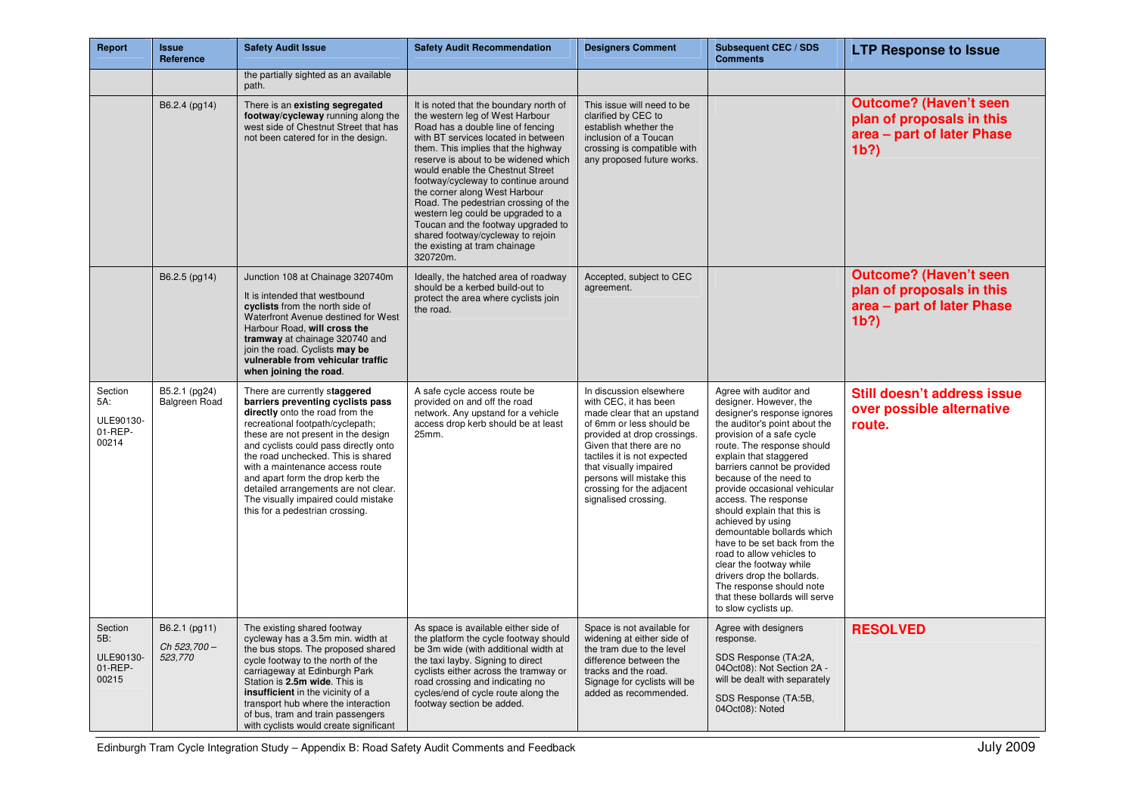| Report                                          | <b>Issue</b><br>Reference                | <b>Safety Audit Issue</b>                                                                                                                                                                                                                                                                                                                                                                                                                                | <b>Safety Audit Recommendation</b>                                                                                                                                                                                                                                                                                                                                                                                                                                                                                                                     | <b>Designers Comment</b>                                                                                                                                                                                                                                                                                        | <b>Subsequent CEC / SDS</b><br><b>Comments</b>                                                                                                                                                                                                                                                                                                                                                                                                                                                                                                                                                                       | <b>LTP Response to Issue</b>                                                                        |
|-------------------------------------------------|------------------------------------------|----------------------------------------------------------------------------------------------------------------------------------------------------------------------------------------------------------------------------------------------------------------------------------------------------------------------------------------------------------------------------------------------------------------------------------------------------------|--------------------------------------------------------------------------------------------------------------------------------------------------------------------------------------------------------------------------------------------------------------------------------------------------------------------------------------------------------------------------------------------------------------------------------------------------------------------------------------------------------------------------------------------------------|-----------------------------------------------------------------------------------------------------------------------------------------------------------------------------------------------------------------------------------------------------------------------------------------------------------------|----------------------------------------------------------------------------------------------------------------------------------------------------------------------------------------------------------------------------------------------------------------------------------------------------------------------------------------------------------------------------------------------------------------------------------------------------------------------------------------------------------------------------------------------------------------------------------------------------------------------|-----------------------------------------------------------------------------------------------------|
|                                                 |                                          | the partially sighted as an available<br>path.                                                                                                                                                                                                                                                                                                                                                                                                           |                                                                                                                                                                                                                                                                                                                                                                                                                                                                                                                                                        |                                                                                                                                                                                                                                                                                                                 |                                                                                                                                                                                                                                                                                                                                                                                                                                                                                                                                                                                                                      |                                                                                                     |
|                                                 | B6.2.4 (pg14)                            | There is an existing segregated<br>footway/cycleway running along the<br>west side of Chestnut Street that has<br>not been catered for in the design.                                                                                                                                                                                                                                                                                                    | It is noted that the boundary north of<br>the western leg of West Harbour<br>Road has a double line of fencing<br>with BT services located in between<br>them. This implies that the highway<br>reserve is about to be widened which<br>would enable the Chestnut Street<br>footway/cycleway to continue around<br>the corner along West Harbour<br>Road. The pedestrian crossing of the<br>western leg could be upgraded to a<br>Toucan and the footway upgraded to<br>shared footway/cycleway to rejoin<br>the existing at tram chainage<br>320720m. | This issue will need to be<br>clarified by CEC to<br>establish whether the<br>inclusion of a Toucan<br>crossing is compatible with<br>any proposed future works.                                                                                                                                                |                                                                                                                                                                                                                                                                                                                                                                                                                                                                                                                                                                                                                      | <b>Outcome? (Haven't seen</b><br>plan of proposals in this<br>area - part of later Phase<br>$1b$ ?) |
|                                                 | B6.2.5 (pg14)                            | Junction 108 at Chainage 320740m<br>It is intended that westbound<br>cyclists from the north side of<br>Waterfront Avenue destined for West<br>Harbour Road, will cross the<br>tramway at chainage 320740 and<br>join the road. Cyclists may be<br>vulnerable from vehicular traffic<br>when joining the road.                                                                                                                                           | Ideally, the hatched area of roadway<br>should be a kerbed build-out to<br>protect the area where cyclists join<br>the road.                                                                                                                                                                                                                                                                                                                                                                                                                           | Accepted, subject to CEC<br>agreement.                                                                                                                                                                                                                                                                          |                                                                                                                                                                                                                                                                                                                                                                                                                                                                                                                                                                                                                      | <b>Outcome? (Haven't seen</b><br>plan of proposals in this<br>area - part of later Phase<br>$1b$ ?) |
| Section<br>5A:<br>ULE90130-<br>01-REP-<br>00214 | B5.2.1 (pg24)<br>Balgreen Road           | There are currently staggered<br>barriers preventing cyclists pass<br>directly onto the road from the<br>recreational footpath/cyclepath;<br>these are not present in the design<br>and cyclists could pass directly onto<br>the road unchecked. This is shared<br>with a maintenance access route<br>and apart form the drop kerb the<br>detailed arrangements are not clear.<br>The visually impaired could mistake<br>this for a pedestrian crossing. | A safe cycle access route be<br>provided on and off the road<br>network. Any upstand for a vehicle<br>access drop kerb should be at least<br>25mm.                                                                                                                                                                                                                                                                                                                                                                                                     | In discussion elsewhere<br>with CEC, it has been<br>made clear that an upstand<br>of 6mm or less should be<br>provided at drop crossings.<br>Given that there are no<br>tactiles it is not expected<br>that visually impaired<br>persons will mistake this<br>crossing for the adjacent<br>signalised crossing. | Agree with auditor and<br>designer. However, the<br>designer's response ignores<br>the auditor's point about the<br>provision of a safe cycle<br>route. The response should<br>explain that staggered<br>barriers cannot be provided<br>because of the need to<br>provide occasional vehicular<br>access. The response<br>should explain that this is<br>achieved by using<br>demountable bollards which<br>have to be set back from the<br>road to allow vehicles to<br>clear the footway while<br>drivers drop the bollards.<br>The response should note<br>that these bollards will serve<br>to slow cyclists up. | Still doesn't address issue<br>over possible alternative<br>route.                                  |
| Section<br>5B:<br>ULE90130-<br>01-REP-<br>00215 | B6.2.1 (pg11)<br>Ch 523.700 -<br>523,770 | The existing shared footway<br>cycleway has a 3.5m min. width at<br>the bus stops. The proposed shared<br>cycle footway to the north of the<br>carriageway at Edinburgh Park<br>Station is 2.5m wide. This is<br>insufficient in the vicinity of a<br>transport hub where the interaction<br>of bus, tram and train passengers<br>with cyclists would create significant                                                                                 | As space is available either side of<br>the platform the cycle footway should<br>be 3m wide (with additional width at<br>the taxi layby. Signing to direct<br>cyclists either across the tramway or<br>road crossing and indicating no<br>cycles/end of cycle route along the<br>footway section be added.                                                                                                                                                                                                                                             | Space is not available for<br>widening at either side of<br>the tram due to the level<br>difference between the<br>tracks and the road.<br>Signage for cyclists will be<br>added as recommended.                                                                                                                | Agree with designers<br>response.<br>SDS Response (TA:2A,<br>04Oct08): Not Section 2A -<br>will be dealt with separately<br>SDS Response (TA:5B,<br>04Oct08): Noted                                                                                                                                                                                                                                                                                                                                                                                                                                                  | <b>RESOLVED</b>                                                                                     |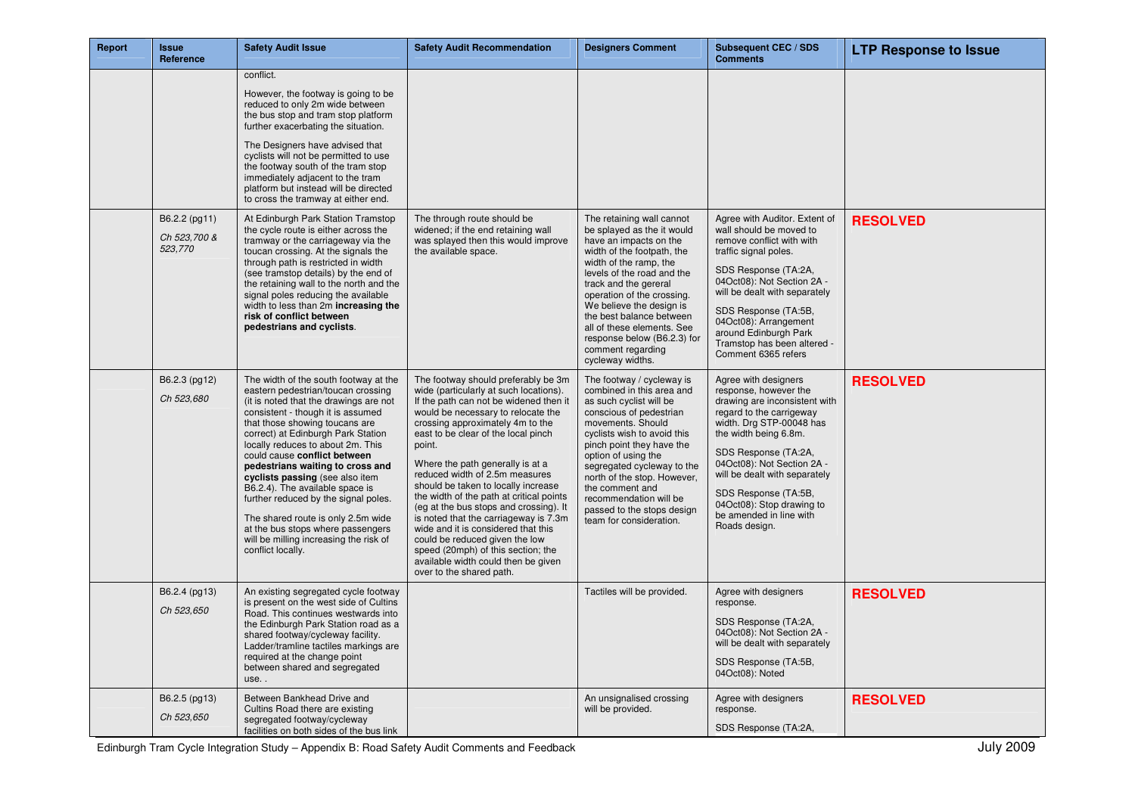| Report | <b>Issue</b><br>Reference                | <b>Safety Audit Issue</b>                                                                                                                                                                                                                                                                                                                                                                                                                                                                                                                                                                           | <b>Safety Audit Recommendation</b>                                                                                                                                                                                                                                                                                                                                                                                                                                                                                                                                                                                                                                               | <b>Designers Comment</b>                                                                                                                                                                                                                                                                                                                                                                     | Subsequent CEC / SDS<br><b>Comments</b>                                                                                                                                                                                                                                                                                                                 | <b>LTP Response to Issue</b> |
|--------|------------------------------------------|-----------------------------------------------------------------------------------------------------------------------------------------------------------------------------------------------------------------------------------------------------------------------------------------------------------------------------------------------------------------------------------------------------------------------------------------------------------------------------------------------------------------------------------------------------------------------------------------------------|----------------------------------------------------------------------------------------------------------------------------------------------------------------------------------------------------------------------------------------------------------------------------------------------------------------------------------------------------------------------------------------------------------------------------------------------------------------------------------------------------------------------------------------------------------------------------------------------------------------------------------------------------------------------------------|----------------------------------------------------------------------------------------------------------------------------------------------------------------------------------------------------------------------------------------------------------------------------------------------------------------------------------------------------------------------------------------------|---------------------------------------------------------------------------------------------------------------------------------------------------------------------------------------------------------------------------------------------------------------------------------------------------------------------------------------------------------|------------------------------|
|        |                                          | conflict.<br>However, the footway is going to be<br>reduced to only 2m wide between<br>the bus stop and tram stop platform<br>further exacerbating the situation.<br>The Designers have advised that<br>cyclists will not be permitted to use<br>the footway south of the tram stop<br>immediately adjacent to the tram<br>platform but instead will be directed<br>to cross the tramway at either end.                                                                                                                                                                                             |                                                                                                                                                                                                                                                                                                                                                                                                                                                                                                                                                                                                                                                                                  |                                                                                                                                                                                                                                                                                                                                                                                              |                                                                                                                                                                                                                                                                                                                                                         |                              |
|        | B6.2.2 (pg11)<br>Ch 523,700 &<br>523,770 | At Edinburgh Park Station Tramstop<br>the cycle route is either across the<br>tramway or the carriageway via the<br>toucan crossing. At the signals the<br>through path is restricted in width<br>(see tramstop details) by the end of<br>the retaining wall to the north and the<br>signal poles reducing the available<br>width to less than 2m increasing the<br>risk of conflict between<br>pedestrians and cyclists.                                                                                                                                                                           | The through route should be<br>widened; if the end retaining wall<br>was splayed then this would improve<br>the available space.                                                                                                                                                                                                                                                                                                                                                                                                                                                                                                                                                 | The retaining wall cannot<br>be splayed as the it would<br>have an impacts on the<br>width of the footpath, the<br>width of the ramp, the<br>levels of the road and the<br>track and the gereral<br>operation of the crossing.<br>We believe the design is<br>the best balance between<br>all of these elements. See<br>response below (B6.2.3) for<br>comment regarding<br>cycleway widths. | Agree with Auditor. Extent of<br>wall should be moved to<br>remove conflict with with<br>traffic signal poles.<br>SDS Response (TA:2A,<br>04Oct08): Not Section 2A -<br>will be dealt with separately<br>SDS Response (TA:5B,<br>04Oct08): Arrangement<br>around Edinburgh Park<br>Tramstop has been altered -<br>Comment 6365 refers                   | <b>RESOLVED</b>              |
|        | B6.2.3 (pg12)<br>Ch 523,680              | The width of the south footway at the<br>eastern pedestrian/toucan crossing<br>(it is noted that the drawings are not<br>consistent - though it is assumed<br>that those showing toucans are<br>correct) at Edinburgh Park Station<br>locally reduces to about 2m. This<br>could cause conflict between<br>pedestrians waiting to cross and<br>cyclists passing (see also item<br>B6.2.4). The available space is<br>further reduced by the signal poles.<br>The shared route is only 2.5m wide<br>at the bus stops where passengers<br>will be milling increasing the risk of<br>conflict locally. | The footway should preferably be 3m<br>wide (particularly at such locations).<br>If the path can not be widened then it<br>would be necessary to relocate the<br>crossing approximately 4m to the<br>east to be clear of the local pinch<br>point.<br>Where the path generally is at a<br>reduced width of 2.5m measures<br>should be taken to locally increase<br>the width of the path at critical points<br>(eg at the bus stops and crossing). It<br>is noted that the carriageway is 7.3m<br>wide and it is considered that this<br>could be reduced given the low<br>speed (20mph) of this section; the<br>available width could then be given<br>over to the shared path. | The footway / cycleway is<br>combined in this area and<br>as such cyclist will be<br>conscious of pedestrian<br>movements. Should<br>cyclists wish to avoid this<br>pinch point they have the<br>option of using the<br>segregated cycleway to the<br>north of the stop. However,<br>the comment and<br>recommendation will be<br>passed to the stops design<br>team for consideration.      | Agree with designers<br>response, however the<br>drawing are inconsistent with<br>regard to the carrigeway<br>width. Drg STP-00048 has<br>the width being 6.8m.<br>SDS Response (TA:2A,<br>04Oct08): Not Section 2A -<br>will be dealt with separately<br>SDS Response (TA:5B,<br>04Oct08): Stop drawing to<br>be amended in line with<br>Roads design. | <b>RESOLVED</b>              |
|        | B6.2.4 (pg13)<br>Ch 523,650              | An existing segregated cycle footway<br>is present on the west side of Cultins<br>Road. This continues westwards into<br>the Edinburgh Park Station road as a<br>shared footway/cycleway facility.<br>Ladder/tramline tactiles markings are<br>required at the change point<br>between shared and segregated<br>use                                                                                                                                                                                                                                                                                 |                                                                                                                                                                                                                                                                                                                                                                                                                                                                                                                                                                                                                                                                                  | Tactiles will be provided.                                                                                                                                                                                                                                                                                                                                                                   | Agree with designers<br>response.<br>SDS Response (TA:2A,<br>04Oct08): Not Section 2A -<br>will be dealt with separately<br>SDS Response (TA:5B,<br>04Oct08): Noted                                                                                                                                                                                     | <b>RESOLVED</b>              |
|        | B6.2.5 (pg13)<br>Ch 523,650              | Between Bankhead Drive and<br>Cultins Road there are existing<br>segregated footway/cycleway<br>facilities on both sides of the bus link                                                                                                                                                                                                                                                                                                                                                                                                                                                            |                                                                                                                                                                                                                                                                                                                                                                                                                                                                                                                                                                                                                                                                                  | An unsignalised crossing<br>will be provided.                                                                                                                                                                                                                                                                                                                                                | Agree with designers<br>response.<br>SDS Response (TA:2A,                                                                                                                                                                                                                                                                                               | <b>RESOLVED</b>              |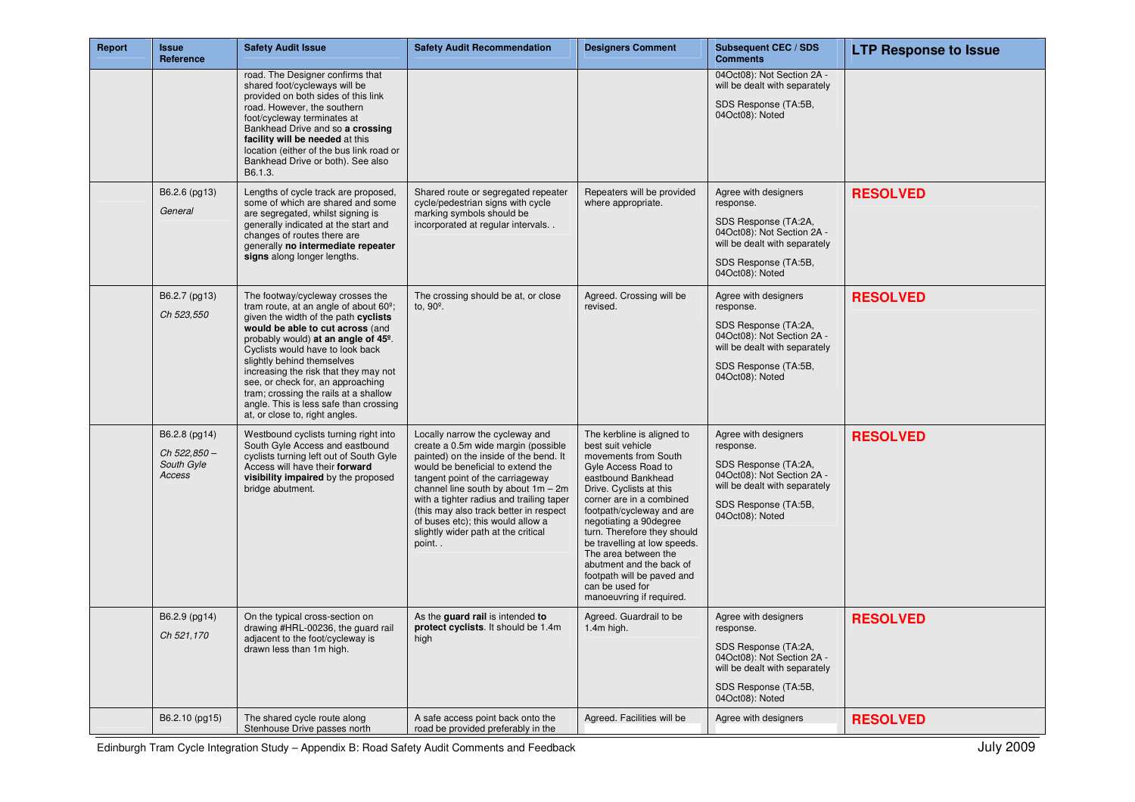| Report | <b>Issue</b><br>Reference                            | <b>Safety Audit Issue</b>                                                                                                                                                                                                                                                                                                                                                                                                                                                                   | <b>Safety Audit Recommendation</b>                                                                                                                                                                                                                                                                                                                                                                            | <b>Designers Comment</b>                                                                                                                                                                                                                                                                                                                                                                                                           | Subsequent CEC / SDS<br><b>Comments</b>                                                                                                                             | <b>LTP Response to Issue</b> |
|--------|------------------------------------------------------|---------------------------------------------------------------------------------------------------------------------------------------------------------------------------------------------------------------------------------------------------------------------------------------------------------------------------------------------------------------------------------------------------------------------------------------------------------------------------------------------|---------------------------------------------------------------------------------------------------------------------------------------------------------------------------------------------------------------------------------------------------------------------------------------------------------------------------------------------------------------------------------------------------------------|------------------------------------------------------------------------------------------------------------------------------------------------------------------------------------------------------------------------------------------------------------------------------------------------------------------------------------------------------------------------------------------------------------------------------------|---------------------------------------------------------------------------------------------------------------------------------------------------------------------|------------------------------|
|        |                                                      | road. The Designer confirms that<br>shared foot/cycleways will be<br>provided on both sides of this link<br>road. However, the southern<br>foot/cycleway terminates at<br>Bankhead Drive and so a crossing<br>facility will be needed at this<br>location (either of the bus link road or<br>Bankhead Drive or both). See also<br>B6.1.3.                                                                                                                                                   |                                                                                                                                                                                                                                                                                                                                                                                                               |                                                                                                                                                                                                                                                                                                                                                                                                                                    | 04Oct08): Not Section 2A -<br>will be dealt with separately<br>SDS Response (TA:5B,<br>04Oct08): Noted                                                              |                              |
|        | B6.2.6 (pg13)<br>General                             | Lengths of cycle track are proposed,<br>some of which are shared and some<br>are segregated, whilst signing is<br>generally indicated at the start and<br>changes of routes there are<br>generally no intermediate repeater<br>signs along longer lengths.                                                                                                                                                                                                                                  | Shared route or segregated repeater<br>cycle/pedestrian signs with cycle<br>marking symbols should be<br>incorporated at regular intervals                                                                                                                                                                                                                                                                    | Repeaters will be provided<br>where appropriate.                                                                                                                                                                                                                                                                                                                                                                                   | Agree with designers<br>response.<br>SDS Response (TA:2A,<br>04Oct08): Not Section 2A -<br>will be dealt with separately<br>SDS Response (TA:5B,<br>04Oct08): Noted | <b>RESOLVED</b>              |
|        | B6.2.7 (pg13)<br>Ch 523,550                          | The footway/cycleway crosses the<br>tram route, at an angle of about 60 <sup>°</sup> ;<br>given the width of the path cyclists<br>would be able to cut across (and<br>probably would) at an angle of 45 <sup>o</sup> .<br>Cyclists would have to look back<br>slightly behind themselves<br>increasing the risk that they may not<br>see, or check for, an approaching<br>tram; crossing the rails at a shallow<br>angle. This is less safe than crossing<br>at, or close to, right angles. | The crossing should be at, or close<br>to, $90^\circ$ .                                                                                                                                                                                                                                                                                                                                                       | Agreed. Crossing will be<br>revised.                                                                                                                                                                                                                                                                                                                                                                                               | Agree with designers<br>response.<br>SDS Response (TA:2A,<br>04Oct08): Not Section 2A -<br>will be dealt with separately<br>SDS Response (TA:5B,<br>04Oct08): Noted | <b>RESOLVED</b>              |
|        | B6.2.8 (pg14)<br>Ch 522.850-<br>South Gyle<br>Access | Westbound cyclists turning right into<br>South Gyle Access and eastbound<br>cyclists turning left out of South Gyle<br>Access will have their forward<br>visibility impaired by the proposed<br>bridge abutment.                                                                                                                                                                                                                                                                            | Locally narrow the cycleway and<br>create a 0.5m wide margin (possible<br>painted) on the inside of the bend. It<br>would be beneficial to extend the<br>tangent point of the carriageway<br>channel line south by about $1m - 2m$<br>with a tighter radius and trailing taper<br>(this may also track better in respect<br>of buses etc); this would allow a<br>slightly wider path at the critical<br>point | The kerbline is aligned to<br>best suit vehicle<br>movements from South<br>Gyle Access Road to<br>eastbound Bankhead<br>Drive. Cyclists at this<br>corner are in a combined<br>footpath/cycleway and are<br>negotiating a 90degree<br>turn. Therefore they should<br>be travelling at low speeds.<br>The area between the<br>abutment and the back of<br>footpath will be paved and<br>can be used for<br>manoeuvring if required. | Agree with designers<br>response.<br>SDS Response (TA:2A,<br>04Oct08): Not Section 2A -<br>will be dealt with separately<br>SDS Response (TA:5B,<br>04Oct08): Noted | <b>RESOLVED</b>              |
|        | B6.2.9 (pg14)<br>Ch 521,170                          | On the typical cross-section on<br>drawing #HRL-00236, the guard rail<br>adjacent to the foot/cycleway is<br>drawn less than 1m high.                                                                                                                                                                                                                                                                                                                                                       | As the guard rail is intended to<br>protect cyclists. It should be 1.4m<br>high                                                                                                                                                                                                                                                                                                                               | Agreed. Guardrail to be<br>$1.4m$ high.                                                                                                                                                                                                                                                                                                                                                                                            | Agree with designers<br>response.<br>SDS Response (TA:2A,<br>04Oct08): Not Section 2A -<br>will be dealt with separately<br>SDS Response (TA:5B,<br>04Oct08): Noted | <b>RESOLVED</b>              |
|        | B6.2.10 (pg15)                                       | The shared cycle route along<br>Stenhouse Drive passes north                                                                                                                                                                                                                                                                                                                                                                                                                                | A safe access point back onto the<br>road be provided preferably in the                                                                                                                                                                                                                                                                                                                                       | Agreed. Facilities will be                                                                                                                                                                                                                                                                                                                                                                                                         | Agree with designers                                                                                                                                                | <b>RESOLVED</b>              |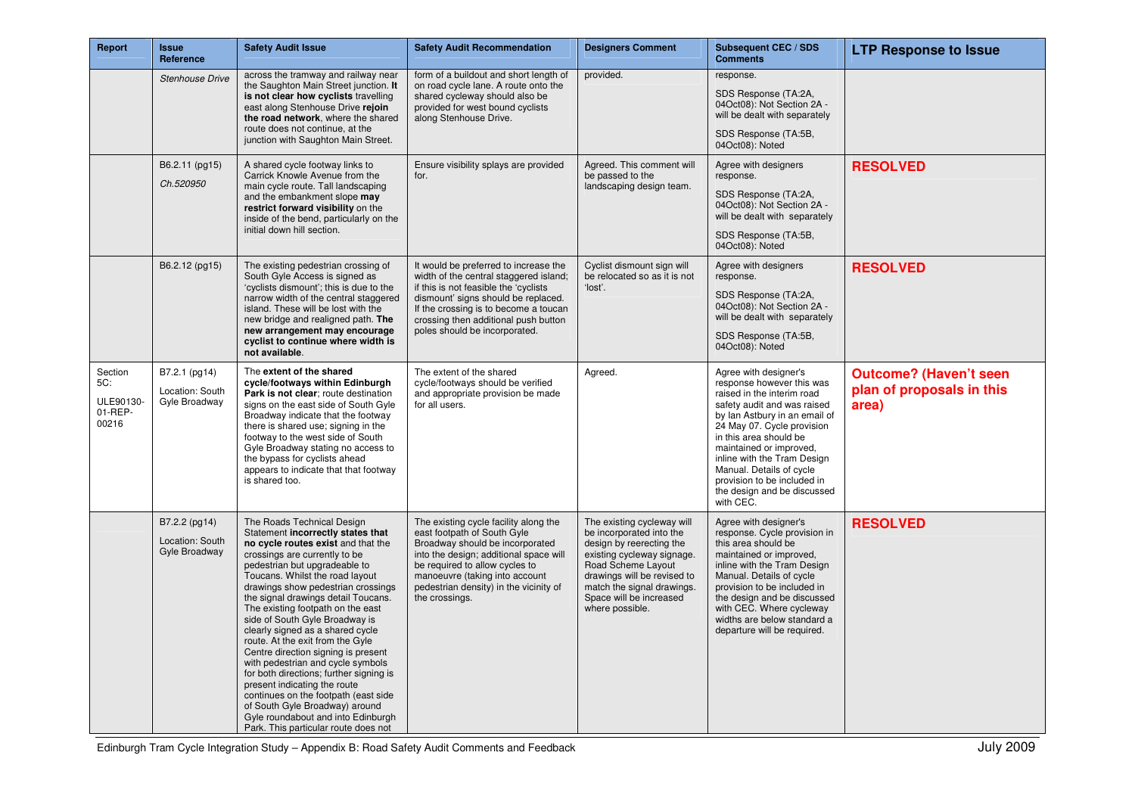| Report                                          | <b>Issue</b><br>Reference                         | <b>Safety Audit Issue</b>                                                                                                                                                                                                                                                                                                                                                                                                                                                                                                                                                                                                                                                                                                                             | <b>Safety Audit Recommendation</b>                                                                                                                                                                                                                                                | <b>Designers Comment</b>                                                                                                                                                                                                                          | <b>Subsequent CEC / SDS</b><br><b>Comments</b>                                                                                                                                                                                                                                                                                                                            | <b>LTP Response to Issue</b>                                        |
|-------------------------------------------------|---------------------------------------------------|-------------------------------------------------------------------------------------------------------------------------------------------------------------------------------------------------------------------------------------------------------------------------------------------------------------------------------------------------------------------------------------------------------------------------------------------------------------------------------------------------------------------------------------------------------------------------------------------------------------------------------------------------------------------------------------------------------------------------------------------------------|-----------------------------------------------------------------------------------------------------------------------------------------------------------------------------------------------------------------------------------------------------------------------------------|---------------------------------------------------------------------------------------------------------------------------------------------------------------------------------------------------------------------------------------------------|---------------------------------------------------------------------------------------------------------------------------------------------------------------------------------------------------------------------------------------------------------------------------------------------------------------------------------------------------------------------------|---------------------------------------------------------------------|
|                                                 | <b>Stenhouse Drive</b>                            | across the tramway and railway near<br>the Saughton Main Street junction. It<br>is not clear how cyclists travelling<br>east along Stenhouse Drive rejoin<br>the road network, where the shared<br>route does not continue, at the<br>junction with Saughton Main Street.                                                                                                                                                                                                                                                                                                                                                                                                                                                                             | form of a buildout and short length of<br>on road cycle lane. A route onto the<br>shared cycleway should also be<br>provided for west bound cyclists<br>along Stenhouse Drive.                                                                                                    | provided.                                                                                                                                                                                                                                         | response.<br>SDS Response (TA:2A,<br>04Oct08): Not Section 2A -<br>will be dealt with separately<br>SDS Response (TA:5B,<br>04Oct08): Noted                                                                                                                                                                                                                               |                                                                     |
|                                                 | B6.2.11 (pg15)<br>Ch.520950                       | A shared cycle footway links to<br>Carrick Knowle Avenue from the<br>main cycle route. Tall landscaping<br>and the embankment slope may<br>restrict forward visibility on the<br>inside of the bend, particularly on the<br>initial down hill section.                                                                                                                                                                                                                                                                                                                                                                                                                                                                                                | Ensure visibility splays are provided<br>for.                                                                                                                                                                                                                                     | Agreed. This comment will<br>be passed to the<br>landscaping design team.                                                                                                                                                                         | Agree with designers<br>response.<br>SDS Response (TA:2A,<br>04Oct08): Not Section 2A -<br>will be dealt with separately<br>SDS Response (TA:5B,<br>04Oct08): Noted                                                                                                                                                                                                       | <b>RESOLVED</b>                                                     |
|                                                 | B6.2.12 (pg15)                                    | The existing pedestrian crossing of<br>South Gyle Access is signed as<br>'cyclists dismount'; this is due to the<br>narrow width of the central staggered<br>island. These will be lost with the<br>new bridge and realigned path. The<br>new arrangement may encourage<br>cyclist to continue where width is<br>not available.                                                                                                                                                                                                                                                                                                                                                                                                                       | It would be preferred to increase the<br>width of the central staggered island;<br>if this is not feasible the 'cyclists<br>dismount' signs should be replaced.<br>If the crossing is to become a toucan<br>crossing then additional push button<br>poles should be incorporated. | Cyclist dismount sign will<br>be relocated so as it is not<br>'lost'.                                                                                                                                                                             | Agree with designers<br>response.<br>SDS Response (TA:2A,<br>04Oct08): Not Section 2A -<br>will be dealt with separately<br>SDS Response (TA:5B,<br>04Oct08): Noted                                                                                                                                                                                                       | <b>RESOLVED</b>                                                     |
| Section<br>5C:<br>ULE90130-<br>01-REP-<br>00216 | B7.2.1 (pg14)<br>Location: South<br>Gyle Broadway | The extent of the shared<br>cycle/footways within Edinburgh<br>Park is not clear; route destination<br>signs on the east side of South Gyle<br>Broadway indicate that the footway<br>there is shared use; signing in the<br>footway to the west side of South<br>Gyle Broadway stating no access to<br>the bypass for cyclists ahead<br>appears to indicate that that footway<br>is shared too.                                                                                                                                                                                                                                                                                                                                                       | The extent of the shared<br>cycle/footways should be verified<br>and appropriate provision be made<br>for all users.                                                                                                                                                              | Agreed.                                                                                                                                                                                                                                           | Agree with designer's<br>response however this was<br>raised in the interim road<br>safety audit and was raised<br>by lan Astbury in an email of<br>24 May 07. Cycle provision<br>in this area should be<br>maintained or improved,<br>inline with the Tram Design<br>Manual. Details of cycle<br>provision to be included in<br>the design and be discussed<br>with CEC. | <b>Outcome? (Haven't seen</b><br>plan of proposals in this<br>area) |
|                                                 | B7.2.2 (pg14)<br>Location: South<br>Gyle Broadway | The Roads Technical Design<br>Statement incorrectly states that<br>no cycle routes exist and that the<br>crossings are currently to be<br>pedestrian but upgradeable to<br>Toucans. Whilst the road layout<br>drawings show pedestrian crossings<br>the signal drawings detail Toucans.<br>The existing footpath on the east<br>side of South Gyle Broadway is<br>clearly signed as a shared cycle<br>route. At the exit from the Gyle<br>Centre direction signing is present<br>with pedestrian and cycle symbols<br>for both directions; further signing is<br>present indicating the route<br>continues on the footpath (east side<br>of South Gyle Broadway) around<br>Gyle roundabout and into Edinburgh<br>Park. This particular route does not | The existing cycle facility along the<br>east footpath of South Gyle<br>Broadway should be incorporated<br>into the design; additional space will<br>be required to allow cycles to<br>manoeuvre (taking into account<br>pedestrian density) in the vicinity of<br>the crossings. | The existing cycleway will<br>be incorporated into the<br>design by reerecting the<br>existing cycleway signage.<br>Road Scheme Layout<br>drawings will be revised to<br>match the signal drawings.<br>Space will be increased<br>where possible. | Agree with designer's<br>response. Cycle provision in<br>this area should be<br>maintained or improved,<br>inline with the Tram Design<br>Manual. Details of cycle<br>provision to be included in<br>the design and be discussed<br>with CEC. Where cycleway<br>widths are below standard a<br>departure will be required.                                                | <b>RESOLVED</b>                                                     |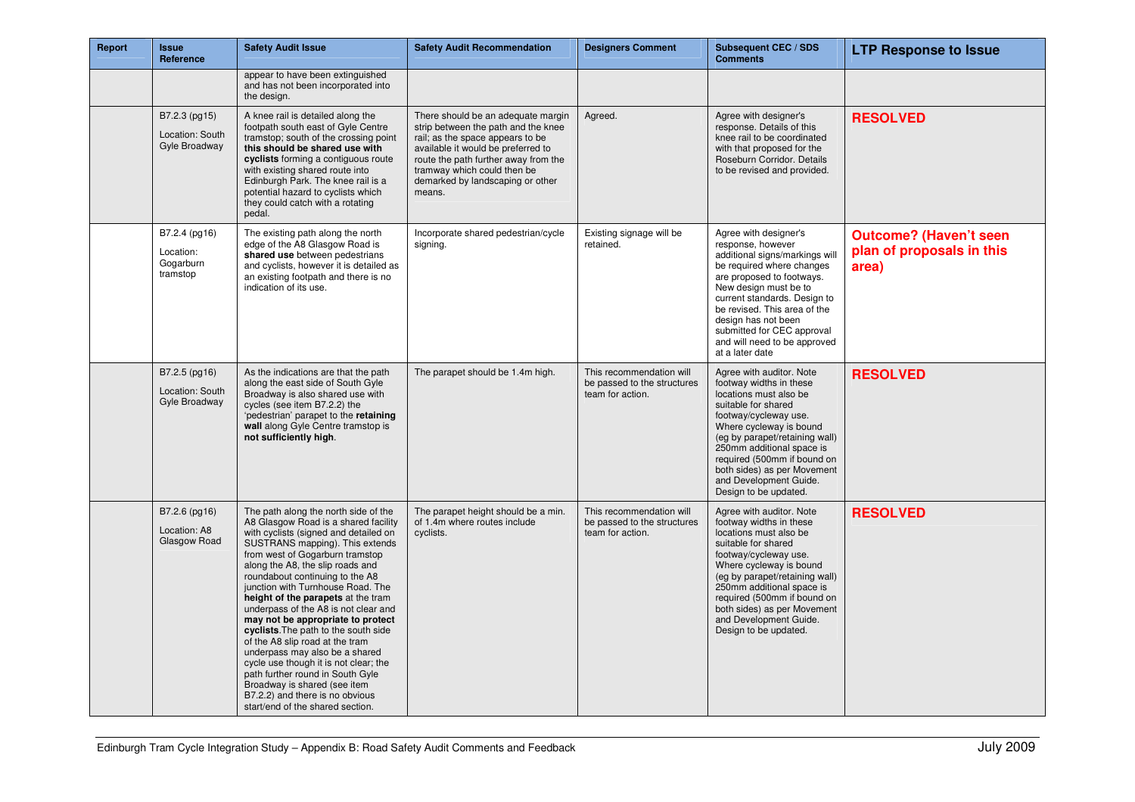| Report | <b>Issue</b><br>Reference                           | <b>Safety Audit Issue</b>                                                                                                                                                                                                                                                                                                                                                                                                                                                                                                                                                                                                                                                                                                   | <b>Safety Audit Recommendation</b>                                                                                                                                                                                                                                       | <b>Designers Comment</b>                                                    | <b>Subsequent CEC / SDS</b><br><b>Comments</b>                                                                                                                                                                                                                                                                                           | <b>LTP Response to Issue</b>                                        |
|--------|-----------------------------------------------------|-----------------------------------------------------------------------------------------------------------------------------------------------------------------------------------------------------------------------------------------------------------------------------------------------------------------------------------------------------------------------------------------------------------------------------------------------------------------------------------------------------------------------------------------------------------------------------------------------------------------------------------------------------------------------------------------------------------------------------|--------------------------------------------------------------------------------------------------------------------------------------------------------------------------------------------------------------------------------------------------------------------------|-----------------------------------------------------------------------------|------------------------------------------------------------------------------------------------------------------------------------------------------------------------------------------------------------------------------------------------------------------------------------------------------------------------------------------|---------------------------------------------------------------------|
|        |                                                     | appear to have been extinguished<br>and has not been incorporated into<br>the design.                                                                                                                                                                                                                                                                                                                                                                                                                                                                                                                                                                                                                                       |                                                                                                                                                                                                                                                                          |                                                                             |                                                                                                                                                                                                                                                                                                                                          |                                                                     |
|        | B7.2.3 (pg15)<br>Location: South<br>Gyle Broadway   | A knee rail is detailed along the<br>footpath south east of Gyle Centre<br>tramstop; south of the crossing point<br>this should be shared use with<br>cyclists forming a contiguous route<br>with existing shared route into<br>Edinburgh Park. The knee rail is a<br>potential hazard to cyclists which<br>they could catch with a rotating<br>pedal.                                                                                                                                                                                                                                                                                                                                                                      | There should be an adequate margin<br>strip between the path and the knee<br>rail; as the space appears to be<br>available it would be preferred to<br>route the path further away from the<br>tramway which could then be<br>demarked by landscaping or other<br>means. | Agreed.                                                                     | Agree with designer's<br>response. Details of this<br>knee rail to be coordinated<br>with that proposed for the<br>Roseburn Corridor. Details<br>to be revised and provided.                                                                                                                                                             | <b>RESOLVED</b>                                                     |
|        | B7.2.4 (pg16)<br>Location:<br>Gogarburn<br>tramstop | The existing path along the north<br>edge of the A8 Glasgow Road is<br>shared use between pedestrians<br>and cyclists, however it is detailed as<br>an existing footpath and there is no<br>indication of its use.                                                                                                                                                                                                                                                                                                                                                                                                                                                                                                          | Incorporate shared pedestrian/cycle<br>signing.                                                                                                                                                                                                                          | Existing signage will be<br>retained.                                       | Agree with designer's<br>response, however<br>additional signs/markings will<br>be required where changes<br>are proposed to footways.<br>New design must be to<br>current standards. Design to<br>be revised. This area of the<br>design has not been<br>submitted for CEC approval<br>and will need to be approved<br>at a later date  | <b>Outcome? (Haven't seen</b><br>plan of proposals in this<br>area) |
|        | B7.2.5 (pg16)<br>Location: South<br>Gyle Broadway   | As the indications are that the path<br>along the east side of South Gyle<br>Broadway is also shared use with<br>cycles (see item B7.2.2) the<br>'pedestrian' parapet to the retaining<br>wall along Gyle Centre tramstop is<br>not sufficiently high.                                                                                                                                                                                                                                                                                                                                                                                                                                                                      | The parapet should be 1.4m high.                                                                                                                                                                                                                                         | This recommendation will<br>be passed to the structures<br>team for action. | Agree with auditor. Note<br>footway widths in these<br>locations must also be<br>suitable for shared<br>footway/cycleway use.<br>Where cycleway is bound<br>(eg by parapet/retaining wall)<br>250mm additional space is<br>required (500mm if bound on<br>both sides) as per Movement<br>and Development Guide.<br>Design to be updated. | <b>RESOLVED</b>                                                     |
|        | B7.2.6 (pg16)<br>Location: A8<br>Glasgow Road       | The path along the north side of the<br>A8 Glasgow Road is a shared facility<br>with cyclists (signed and detailed on<br>SUSTRANS mapping). This extends<br>from west of Gogarburn tramstop<br>along the A8, the slip roads and<br>roundabout continuing to the A8<br>junction with Turnhouse Road. The<br>height of the parapets at the tram<br>underpass of the A8 is not clear and<br>may not be appropriate to protect<br>cyclists. The path to the south side<br>of the A8 slip road at the tram<br>underpass may also be a shared<br>cycle use though it is not clear; the<br>path further round in South Gyle<br>Broadway is shared (see item<br>B7.2.2) and there is no obvious<br>start/end of the shared section. | The parapet height should be a min.<br>of 1.4m where routes include<br>cyclists.                                                                                                                                                                                         | This recommendation will<br>be passed to the structures<br>team for action. | Agree with auditor. Note<br>footway widths in these<br>locations must also be<br>suitable for shared<br>footway/cycleway use.<br>Where cycleway is bound<br>(eg by parapet/retaining wall)<br>250mm additional space is<br>required (500mm if bound on<br>both sides) as per Movement<br>and Development Guide.<br>Design to be updated. | <b>RESOLVED</b>                                                     |